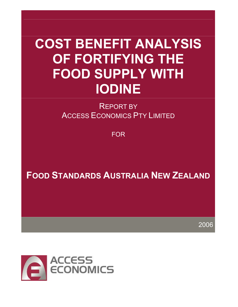# COST BENEFIT ANALYSIS OF FORTIFYING THE FOOD SUPPLY WITH IODINE

REPORT BY ACCESS ECONOMICS PTY LIMITED

FOR

FOOD STANDARDS AUSTRALIA NEW ZEALAND

2006

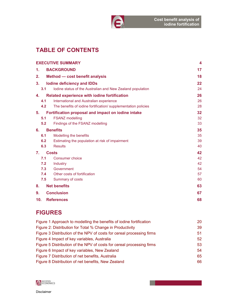

# TABLE OF CONTENTS

|                |     | <b>EXECUTIVE SUMMARY</b>                                       | 4  |
|----------------|-----|----------------------------------------------------------------|----|
| $\mathbf 1$ .  |     | <b>BACKGROUND</b>                                              | 17 |
| 2.             |     | Method - cost benefit analysis                                 | 18 |
| 3.             |     | <b>Iodine deficiency and IDDs</b>                              | 22 |
|                | 3.1 | Iodine status of the Australian and New Zealand population     | 24 |
| 4.             |     | <b>Related experience with iodine fortification</b>            | 26 |
|                | 4.1 | International and Australian experience                        | 26 |
|                | 4.2 | The benefits of iodine fortification/ supplementation policies | 28 |
| 5.             |     | Fortification proposal and impact on iodine intake             | 32 |
|                | 5.1 | <b>FSANZ</b> modelling                                         | 32 |
|                | 5.2 | Findings of the FSANZ modelling                                | 33 |
| 6.             |     | <b>Benefits</b>                                                | 35 |
|                | 6.1 | Modelling the benefits                                         | 35 |
|                | 6.2 | Estimating the population at risk of impairment                | 39 |
|                | 6.3 | <b>Results</b>                                                 | 40 |
| $\mathbf{7}$ . |     | <b>Costs</b>                                                   | 42 |
|                | 7.1 | Consumer choice                                                | 42 |
|                | 7.2 | Industry                                                       | 42 |
|                | 7.3 | Government                                                     | 54 |
|                | 7.4 | Other costs of fortification                                   | 57 |
|                | 7.5 | Summary of costs                                               | 60 |
| 8.             |     | <b>Net benefits</b>                                            | 63 |
| 9.             |     | <b>Conclusion</b>                                              | 67 |
| 10.            |     | <b>References</b>                                              | 68 |
|                |     |                                                                |    |

# FIGURES

| Figure 1 Approach to modelling the benefits of iodine fortification   | <b>20</b>    |
|-----------------------------------------------------------------------|--------------|
| Figure 2: Distribution for Total % Change in Productivity             | 39           |
| Figure 3 Distribution of the NPV of costs for cereal processing firms | 51           |
| Figure 4 Impact of key variables, Australia                           | $52^{\circ}$ |
| Figure 5 Distribution of the NPV of costs for cereal processing firms | 53           |
| Figure 6 Impact of key variables, New Zealand                         | 54           |
| Figure 7 Distribution of net benefits, Australia                      | 65           |
| Figure 8 Distribution of net benefits, New Zealand                    | 66           |

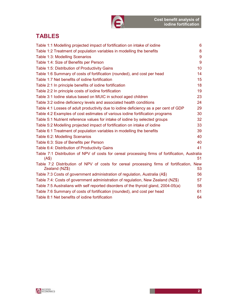# TABLES

| Table 1:1 Modelling projected impact of fortification on intake of iodine                                  | 6               |
|------------------------------------------------------------------------------------------------------------|-----------------|
| Table 1:2 Treatment of population variables in modelling the benefits                                      | 8               |
| Table 1:3: Modelling Scenarios                                                                             | 9               |
| Table 1:4: Size of Benefits per Person                                                                     | 9               |
| Table 1:5: Distribution of Productivity Gains                                                              | 10 <sup>°</sup> |
| Table 1:6 Summary of costs of fortification (rounded), and cost per head                                   | 14              |
| Table 1:7 Net benefits of iodine fortification                                                             | 15              |
| Table 2:1 In principle benefits of iodine fortification                                                    | 18              |
| Table 2:2 In principle costs of iodine fortification                                                       | 19              |
| Table 3:1 lodine status based on MUIC in school aged children                                              | 23              |
| Table 3:2 iodine deficiency levels and associated health conditions                                        | 24              |
| Table 4:1 Losses of adult productivity due to iodine deficiency as a per cent of GDP                       | 29              |
| Table 4:2 Examples of cost estimates of various iodine fortification programs                              | 30              |
| Table 5:1 Nutrient reference values for intake of iodine by selected groups                                | 32              |
| Table 5:2 Modelling projected impact of fortification on intake of iodine                                  | 33              |
| Table 6:1 Treatment of population variables in modelling the benefits                                      | 39              |
| Table 6:2: Modelling Scenarios                                                                             | 40              |
| Table 6:3: Size of Benefits per Person                                                                     | 40              |
| Table 6:4: Distribution of Productivity Gains                                                              | 41              |
| Table 7:1 Distribution of NPV of costs for cereal processing firms of fortification, Australia<br>(AS)     | 51              |
| Table 7:2 Distribution of NPV of costs for cereal processing firms of fortification, New<br>Zealand (NZ\$) | 53              |
| Table 7:3 Costs of government administration of regulation, Australia (A\$)                                | 56              |
| Table 7:4: Costs of government administration of regulation, New Zealand (NZ\$)                            | 57              |
| Table 7:5 Australians with self reported disorders of the thyroid gland, 2004-05(a)                        | 58              |
| Table 7:6 Summary of costs of fortification (rounded), and cost per head                                   | 61              |
| Table 8:1 Net benefits of iodine fortification                                                             | 64              |

A

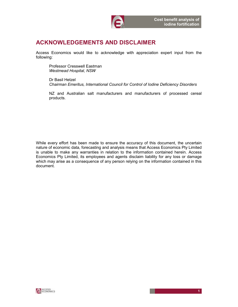

# ACKNOWLEDGEMENTS AND DISCLAIMER

Access Economics would like to acknowledge with appreciation expert input from the following:

Professor Cresswell Eastman Westmead Hospital, NSW

Dr Basil Hetzel Chairman Emeritus, International Council for Control of Iodine Deficiency Disorders

NZ and Australian salt manufacturers and manufacturers of processed cereal products.

While every effort has been made to ensure the accuracy of this document, the uncertain nature of economic data, forecasting and analysis means that Access Economics Pty Limited is unable to make any warranties in relation to the information contained herein. Access Economics Pty Limited, its employees and agents disclaim liability for any loss or damage which may arise as a consequence of any person relying on the information contained in this document.

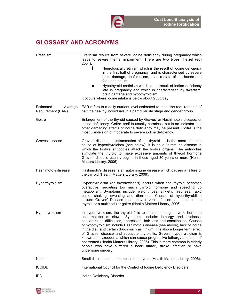

# GLOSSARY AND ACRONYMS

| Cretinism                                 | Cretinism results from severe iodine deficiency during pregnancy which<br>leads to severe mental impairment. There are two types (Hetzel (ed)<br>$2004$ :                                                                                                                                                                                                                                                                                                                                                                                                                                                                                                                                                        |
|-------------------------------------------|------------------------------------------------------------------------------------------------------------------------------------------------------------------------------------------------------------------------------------------------------------------------------------------------------------------------------------------------------------------------------------------------------------------------------------------------------------------------------------------------------------------------------------------------------------------------------------------------------------------------------------------------------------------------------------------------------------------|
|                                           | Ť<br>Neurological cretinism which is the result of iodine deficiency<br>in the first half of pregnancy, and is characterised by severe<br>brain damage, deaf mutism, spastic state of the hands and<br>feet, and squint.                                                                                                                                                                                                                                                                                                                                                                                                                                                                                         |
|                                           | ii.<br>Hypothyroid cretinism which is the result of iodine deficiency<br>late in pregnancy and which is characterised by dwarfism,<br>brain damage and hypothyroidism.<br>It occurs where iodine intake is below about 25µg/day.                                                                                                                                                                                                                                                                                                                                                                                                                                                                                 |
| Estimated<br>Average<br>Requirement (EAR) | EAR refers to a daily nutrient level estimated to meet the requirements of<br>half the healthy individuals in a particular life stage and gender group.                                                                                                                                                                                                                                                                                                                                                                                                                                                                                                                                                          |
| Goitre                                    | Enlargement of the thyroid caused by Graves' or Hashimoto's disease, or<br>iodine deficiency. Goitre itself is usually harmless, but is an indicator that<br>other damaging effects of iodine deficiency may be present. Goitre is the<br>most visible sign of moderate to severe iodine deficiency.                                                                                                                                                                                                                                                                                                                                                                                                             |
| Graves' disease                           | Graves' disease $-$ inflammation of the thyroid $-$ is the most common<br>cause of hyperthyroidism (see below). It is an autoimmune disease in<br>which the body's antibodies attack the body's organs. The antibodies<br>stimulate the thyroid to make excessive amounts of thyroid hormone<br>Graves' disease usually begins in those aged 30 years or more (Health<br>Matters Library, 2006)                                                                                                                                                                                                                                                                                                                  |
| Hashimoto's disease                       | Hashimoto's disease is an autoimmune disease which causes a failure of<br>the thyroid (Health Matters Library, 2006).                                                                                                                                                                                                                                                                                                                                                                                                                                                                                                                                                                                            |
| Hyperthyroidism                           | Hyperthyroidism (or thyrotoxicosis) occurs when the thyroid becomes<br>overactive, secreting too much thyroid hormone and speeding up<br>metabolism. Symptoms include: weight loss, anxiety, tiredness, rapid<br>pulse, shaking, sweating and diarrhoea. Causes of hyperthyroidism<br>include Graves' Disease (see above), viral infection, a nodule in the<br>thyroid or a multinodular goitre (Health Matters Library, 2006)                                                                                                                                                                                                                                                                                   |
| Hypothyroidism                            | In hypothyroidism, the thyroid fails to secrete enough thyroid hormone<br>and metabolism slows. Symptoms include: lethargy and tiredness,<br>concentration difficulties, depression, hair loss and constipation. Causes<br>of hypothyroidism include Hashimoto's disease (see above), lack of iodine<br>in the diet, and certain drugs such as lithium. It is also a longer term effect<br>of Graves' disease and subacute thyroiditis. Severe hypothyroidism is<br>known as myxoedema which can cause progressive lethargy and coma if<br>not treated (Health Matters Library, 2006). This is more common in elderly<br>people who have suffered a heart attack, stroke infection or have<br>undergone surgery. |
| Nodule                                    | Small discrete lump or lumps in the thyroid (Health Matters Library, 2006).                                                                                                                                                                                                                                                                                                                                                                                                                                                                                                                                                                                                                                      |
| <b>ICCIDD</b>                             | International Council for the Control of Iodine Deficiency Disorders                                                                                                                                                                                                                                                                                                                                                                                                                                                                                                                                                                                                                                             |
| IDD.                                      | Iodine Deficiency Disorder                                                                                                                                                                                                                                                                                                                                                                                                                                                                                                                                                                                                                                                                                       |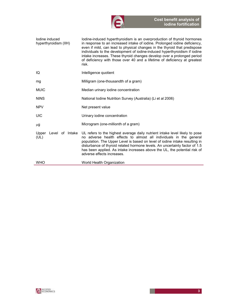

| lodine induced<br>hyperthyroidism (IIH) | lodine-induced hyperthyroidism is an overproduction of thyroid hormones<br>in response to an increased intake of iodine. Prolonged iodine deficiency,<br>even if mild, can lead to physical changes in the thyroid that predispose<br>individuals to the development of iodine-induced hyperthyroidism if iodine<br>intake increases. These thyroid changes develop over a prolonged period<br>of deficiency with those over 40 and a lifetime of deficiency at greatest<br>risk. |
|-----------------------------------------|-----------------------------------------------------------------------------------------------------------------------------------------------------------------------------------------------------------------------------------------------------------------------------------------------------------------------------------------------------------------------------------------------------------------------------------------------------------------------------------|
| IQ                                      | Intelligence quotient                                                                                                                                                                                                                                                                                                                                                                                                                                                             |
| mg                                      | Milligram (one-thousandth of a gram)                                                                                                                                                                                                                                                                                                                                                                                                                                              |
| <b>MUIC</b>                             | Median urinary iodine concentration                                                                                                                                                                                                                                                                                                                                                                                                                                               |
| <b>NINS</b>                             | National Iodine Nutrition Survey (Australia) (Li et al 2006)                                                                                                                                                                                                                                                                                                                                                                                                                      |
| <b>NPV</b>                              | Net present value                                                                                                                                                                                                                                                                                                                                                                                                                                                                 |
| <b>UIC</b>                              | Urinary iodine concentration                                                                                                                                                                                                                                                                                                                                                                                                                                                      |
| μg                                      | Microgram (one-millionth of a gram)                                                                                                                                                                                                                                                                                                                                                                                                                                               |
| Level of Intake<br>Upper<br>(UL)        | UL refers to the highest average daily nutrient intake level likely to pose<br>no adverse health effects to almost all individuals in the general<br>population. The Upper Level is based on level of iodine intake resulting in<br>disturbance of thyroid related hormone levels. An uncertainty factor of 1.5<br>has been applied. As intake increases above the UL, the potential risk of<br>adverse effects increases.                                                        |
| <b>WHO</b>                              | World Health Organization                                                                                                                                                                                                                                                                                                                                                                                                                                                         |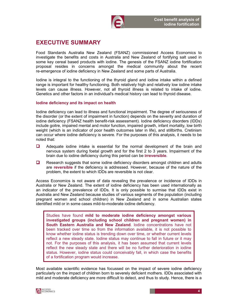

# EXECUTIVE SUMMARY

Food Standards Australia New Zealand (FSANZ) commissioned Access Economics to investigate the benefits and costs in Australia and New Zealand of fortifying salt used in some key cereal based products with iodine. The genesis of the FSANZ iodine fortification proposal resides in concerns amongst the medical community about the recent re-emergence of iodine deficiency in New Zealand and some parts of Australia.

Iodine is integral to the functioning of the thyroid gland and iodine intake within a defined range is important for healthy functioning. Both relatively high and relatively low iodine intake levels can cause illness. However, not all thyroid illness is related to intake of iodine. Genetics and other factors in an individual's medical history can lead to thyroid disease.

#### Iodine deficiency and its impact on health

Iodine deficiency can lead to illness and functional impairment. The degree of seriousness of the disorder (or the extent of impairment in function) depends on the severity and duration of iodine deficiency (FSANZ health benefit-risk assessment). Iodine deficiency disorders (IDDs) include goitre, impaired mental and motor function, impaired growth, infant mortality, low birth weight (which is an indicator of poor health outcomes later in life), and stillbirths. Cretinism can occur where iodine deficiency is severe. For the purposes of this analysis, it needs to be noted that:

- Adequate iodine intake is essential for the normal development of the brain and nervous system during foetal growth and for the first 2 to 3 years. Impairment of the brain due to iodine deficiency during this period can be irreversible.
- $\Box$  Research suggests that some iodine deficiency disorders amongst children and adults are reversible if the deficiency is addressed. However, because of the nature of the problem, the extent to which IDDs are reversible is not clear.

Access Economics is not aware of data revealing the prevalence or incidence of IDDs in Australia or New Zealand. The extent of iodine deficiency has been used internationally as an indicator of the prevalence of IDDs. It is only possible to surmise that IDDs exist in Australia and New Zealand because studies of various segments of the population (including pregnant women and school children) in New Zealand and in some Australian states identified mild or in some cases mild-to-moderate iodine deficiency.

Studies have found mild to moderate iodine deficiency amongst various investigated groups (including school children and pregnant women) in South Eastern Australia and New Zealand. Iodine concentrations have not been tracked over time so from the information available, it is not possible to know whether iodine status is trending down over time, or whether current levels reflect a new steady state. Iodine status may continue to fall in future or it may not. For the purposes of this analysis, it has been assumed that current levels reflect the new steady state and there will be no further deterioration in iodine status. However, iodine status could conceivably fall, in which case the benefits of a fortification program would increase.

Most available scientific evidence has focussed on the impact of severe iodine deficiency particularly on the impact of children born to severely deficient mothers. IDDs associated with mild and moderate deficiency are more difficult to detect, and thus to study. Hence, there is a

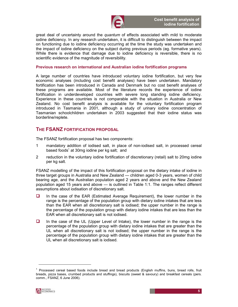

great deal of uncertainty around the quantum of effects associated with mild to moderate iodine deficiency. In any research undertaken, it is difficult to distinguish between the impact on functioning due to iodine deficiency occurring at the time the study was undertaken and the impact of iodine deficiency on the subject during previous periods (eg. formative years). While there is evidence that damage due to iodine deficiency is reversible, there is no scientific evidence of the magnitude of reversibility.

#### Previous research on international and Australian iodine fortification programs

A large number of countries have introduced voluntary iodine fortification, but very few economic analyses (including cost benefit analyses) have been undertaken. Mandatory fortification has been introduced in Canada and Denmark but no cost benefit analyses of these programs are available. Most of the literature records the experience of iodine fortification in underdeveloped countries with severe long standing iodine deficiency. Experience in these countries is not comparable with the situation in Australia or New Zealand. No cost benefit analysis is available for the voluntary fortification program introduced in Tasmania in 2001, although a study of urinary iodine concentration of Tasmanian schoolchildren undertaken in 2003 suggested that their iodine status was borderline/replete.

### THE FSANZ FORTIFICATION PROPOSAL

The FSANZ fortification proposal has two components:

- 1 mandatory addition of iodised salt, in place of non-iodised salt, in processed cereal based foods<sup>1</sup> at 30mg iodine per kg salt; and
- 2 reduction in the voluntary iodine fortification of discretionary (retail) salt to 20mg iodine per kg salt.

FSANZ modelling of the impact of this fortification proposal on the dietary intake of iodine in three target groups in Australia and New Zealand — children aged 0-3 years, women of child bearing age, and the Australian population aged 2 years and above and the New Zealand population aged 15 years and above — is outlined in Table 1:1. The ranges reflect different assumptions about iodisation of discretionary salt.

- $\Box$  In the case of the EAR (Estimated Average Requirement), the lower number in the range is the percentage of the population group with dietary iodine intakes that are less than the EAR when all discretionary salt is iodised; the upper number in the range is the percentage of the population group with dietary iodine intakes that are less than the EAR when all discretionary salt is not iodised.
- $\Box$  In the case of the UL (Upper Level of Intake), the lower number in the range is the percentage of the population group with dietary iodine intakes that are greater than the UL when all discretionary salt is not iodised; the upper number in the range is the percentage of the population group with dietary iodine intakes that are greater than the UL when all discretionary salt is iodised.

<sup>&</sup>lt;sup>1</sup> Processed cereal based foods include bread and bread products (English muffins, buns, bread rolls, fruit breads, pizza bases, crumbed products and stuffings), biscuits (sweet & savoury) and breakfast cereals (pers. comm., FSANZ, 6 June 2006).



1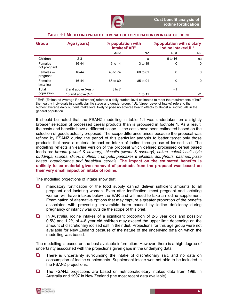| <b>Group</b>                 | Age (years)        | % population with<br>intake <ear<sup>a</ear<sup> |          | <b>%population with dietary</b><br>iodine intake>UL <sup>b</sup> |             |
|------------------------------|--------------------|--------------------------------------------------|----------|------------------------------------------------------------------|-------------|
|                              |                    | Aust                                             | NZ.      | Aust                                                             | NZ          |
| Children                     | $2 - 3$            |                                                  | na       | 6 to 16                                                          | na          |
| $F$ emales —<br>not pregnant | 16-44              | 6 to 14                                          | 3 to 19  | 0                                                                | 0           |
| Females —<br>pregnant        | 16-44              | 43 to 74                                         | 68 to 81 | 0                                                                | $\mathbf 0$ |
| Females —<br>lactating       | 16-44              | 68 to 89                                         | 85 to 91 | $\Omega$                                                         | $\Omega$    |
| Total                        | 2 and above (Aust) | 3 to 7                                           |          | <1                                                               |             |
| population                   | 15 and above (NZ)  |                                                  | 1 to 11  |                                                                  | <1          |

#### TABLE 1:1 MODELLING PROJECTED IMPACT OF FORTIFICATION ON INTAKE OF IODINE

<sup>a</sup> EAR (Estimated Average Requirement) refers to a daily nutrient level estimated to meet the requirements of half the healthy individuals in a particular life stage and gender group. <sup>b</sup> UL (Upper Level of Intake) refers to the highest average daily nutrient intake level likely to pose no adverse health effects to almost all individuals in the general population.

It should be noted that the FSANZ modelling in table 1.1 was undertaken on a slightly broader selection of processed cereal products than is proposed in footnote 1. As a result, the costs and benefits have a different scope — the costs have been estimated based on the selection of goods actually proposed. The scope difference arises because the proposal was refined by FSANZ during the period of this particular analysis to better target only those products that have a material impact on intake of iodine through use of iodised salt. The modelling reflects an earlier version of the proposal which defined processed cereal based foods as: breads (sweet & savoury), biscuits (sweet & savoury), cakes, cake/biscuit style puddings, scones, slices, muffins, crumpets, pancakes & pikelets, doughnuts, pastries, pizza bases, breadcrumbs and breakfast cereals. The impact on the estimated benefits is unlikely to be material given removal of products from the proposal was based on their very small impact on intake of iodine.

The modelled projections of intake show that:

- **Q** mandatory fortification of the food supply cannot deliver sufficient amounts to all pregnant and lactating women. Even after fortification, most pregnant and lactating women will have intakes below the EAR and will need to take an iodine supplement. Examination of alternative options that may capture a greater proportion of the benefits associated with preventing irreversible harm caused by iodine deficiency during pregnancy or infancy was outside the scope of this brief.
- $\Box$  In Australia, iodine intakes of a significant proportion of 2-3 year olds and possibly 0.5% and 1.2% of 4-8 year old children may exceed the upper limit depending on the amount of discretionary iodised salt in their diet. Projections for this age group were not available for New Zealand because of the nature of the underlying data on which the modelling was based.

The modelling is based on the best available information. However, there is a high degree of uncertainty associated with the projections given gaps in the underlying data.

- $\Box$  There is uncertainty surrounding the intake of discretionary salt, and no data on consumption of iodine supplements. Supplement intake was not able to be included in the FSANZ projections.
- $\Box$  The FSANZ projections are based on nutritional/dietary intakes data from 1995 in Australia and 1997 in New Zealand (the most recent data available).

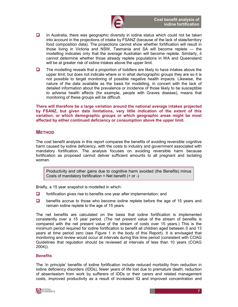

- $\Box$  In Australia, there was geographic diversity in iodine status which could not be taken into account in the projections of intake by FSANZ (because of the lack of state/territory food composition data). The projections cannot show whether fortification will result in those living in Victoria and NSW, Tasmania and SA will become replete — the modelling indicates only that the average Australian will become replete. Similarly, it cannot determine whether those already replete populations in WA and Queensland will be at greater risk of iodine intakes above the upper limit.
- $\Box$  The modelling reveals that a proportion of toddlers are likely to have intakes above the upper limit, but does not indicate where or in what demographic groups they are so it is not possible to target monitoring of possible negative health impacts. Likewise, the nature of the data available as the basis for modelling, in concert with the lack of detailed information about the prevalence or incidence of those likely to be susceptible to adverse health effects (for example, people with Graves disease), means that monitoring of these groups will be difficult.

There will therefore be a large variation around the national average intakes projected by FSANZ, but given data limitations, very little indication of the extent of this variation, or which demographic groups or which geographic areas might be most affected by either continued deficiency or consumption above the upper limit.

#### **METHOD**

The cost benefit analysis in this report compares the benefits of avoiding reversible cognitive harm caused by iodine deficiency, with the costs to industry and government associated with mandatory fortification. The analysis focuses on avoiding reversible harm because fortification as proposed cannot deliver sufficient amounts to all pregnant and lactating women.

Productivity and other gains due to cognitive harm avoided (the Benefits) minus Costs of mandatory fortification = Net benefit  $(+ or -)$ 

Briefly, a 15 year snapshot is modelled in which:

- $\Box$  fortification gives rise to benefits one year after implementation; and
- $\Box$  benefits accrue to those who become iodine replete before the age of 15 years and remain iodine replete to the age of 15 years.

The net benefits are calculated on the basis that iodine fortification is implemented consistently over a 15 year period. (The net present value of the stream of benefits is compared with the net present value of the stream of costs over 15 years.) This is the minimum period required for iodine fortification to benefit all children aged between 0 and 13 years at time period zero (see Figure 1 in the body of this Report). It is envisaged that monitoring and review would occur at intervals during this time period (consistent with COAG Guidelines that regulation should be reviewed at intervals of less than 10 years (COAG 2004)).

#### **Benefits**

The 'in principle' benefits of iodine fortification include reduced morbidity from reduction in iodine deficiency disorders (IDDs), fewer years of life lost due to premature death, reduction of absenteeism from work by sufferers of IDDs or their carers and related management costs, improved productivity as a result of increased IQ and improved concentration and

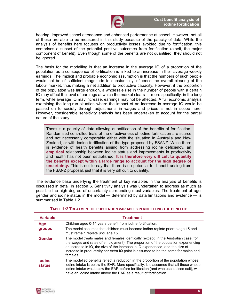

hearing, improved school attendance and enhanced performance at school. However, not all of these are able to be measured in this study because of the paucity of data. While the analysis of benefits here focuses on productivity losses avoided due to fortification, this comprises a subset of the potential positive outcomes from fortification (albeit, the major component of benefit). Even though some of the benefits are not quantified, they should not be ignored.

The basis for the modelling is that an increase in the average IQ of a proportion of the population as a consequence of fortification is linked to an increase in their average weekly earnings. The implicit and probable economic assumption is that the numbers of such people would not be of sufficient magnitude to substantially influence the overall clearing of the labour market, thus making a net addition to productive capacity. However, if the proportion of the population was large enough, a wholesale rise in the number of people with a certain IQ may affect the level of earnings at which the market clears — more specifically, in the long term, while average IQ may increase, earnings may not be affected. A full economic analysis examining the long-run situation where the impact of an increase in average IQ would be passed on to society through adjustments in wages and prices is not in scope here. However, considerable sensitivity analysis has been undertaken to account for the partial nature of the study.

There is a paucity of data allowing quantification of the benefits of fortification. Randomised controlled trials of the effectiveness of iodine fortification are scarce and not necessarily comparable either with the situation in Australia and New Zealand, or with iodine fortification of the type proposed by FSANZ. While there is evidence of health benefits arising from addressing iodine deficiency, an empirical relationship between iodine status and improvements in productivity and health has not been established. It is therefore very difficult to quantify the benefits except within a large range to account for the high degree of uncertainty. This is not to say that there is no potential for benefit arising from the FSANZ proposal, just that it is very difficult to quantify.

The evidence base underlying the treatment of key variables in the analysis of benefits is discussed in detail in section 6. Sensitivity analysis was undertaken to address as much as possible the high degree of uncertainty surrounding most variables. The treatment of age, gender and iodine status in the model — determined by data limitations and evidence — is summarised in Table 1.2.

| <b>Variable</b>                | <b>Treatment</b>                                                                                                                                                                                                                                                                                                                                              |
|--------------------------------|---------------------------------------------------------------------------------------------------------------------------------------------------------------------------------------------------------------------------------------------------------------------------------------------------------------------------------------------------------------|
| Age                            | Children aged 0-14 years benefit from iodine fortification.                                                                                                                                                                                                                                                                                                   |
| groups                         | The model assumes that children must become iodine replete prior to age 15 and<br>must remain replete until age 15.                                                                                                                                                                                                                                           |
| <b>Gender</b>                  | The model treats males and females identically (except, in the Australian case, for<br>the wages and rates of employment). The proportion of the population experiencing<br>an increase in IQ, the size of the increase in IQ experienced, and the size of<br>increase in productivity per extra IQ point is assumed to be the same for males and<br>females. |
| <b>lodine</b><br><b>status</b> | The modelled benefits reflect a reduction in the proportion of the population whose<br>iodine intake is below the EAR. More specifically, it is assumed that all those whose<br>iodine intake was below the EAR before fortification (and who use iodised salt), will<br>have an iodine intake above the EAR as a result of fortification.                    |

#### TABLE 1:2 TREATMENT OF POPULATION VARIABLES IN MODELLING THE BENEFITS

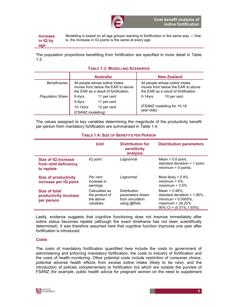

Increase in IQ by Modelling is based on all age groups reacting to fortification in the same way — that is, the increase in IQ points is the same at every age.

age

The population proportions benefiting from fortification are specified in more detail in Table 1.3.

#### TABLE 1:3: MODELLING SCENARIOS

|                         | <b>Australia</b>                                                                                             |                            | <b>New Zealand</b> |                                                                                                              |
|-------------------------|--------------------------------------------------------------------------------------------------------------|----------------------------|--------------------|--------------------------------------------------------------------------------------------------------------|
| <b>Beneficiaries</b>    | All people whose iodine intake<br>moves from below the EAR to above<br>the EAR as a result of fortification. |                            |                    | All people whose iodine intake<br>moves from below the EAR to above<br>the EAR as a result of fortification. |
| <b>Population Share</b> | $0-4$ vrs<br>5-9yrs                                                                                          | 11 per cent<br>11 per cent | $0-14$ vrs         | 10 per cent                                                                                                  |
|                         | $10-14$ yrs<br>(FSANZ modelling)                                                                             | 12 per cent                | year olds)         | (FSANZ modelling for 15-18                                                                                   |

The values assigned to key variables determining the magnitude of the productivity benefit per person from mandatory fortification are summarised in Table 1.4.

#### TABLE 1:4: SIZE OF BENEFITS PER PERSON

|                                                           | <b>Unit</b>                                               | <b>Distribution for</b><br>sensitivity<br>analysis                  | <b>Distribution parameters</b>                                                                                                        |
|-----------------------------------------------------------|-----------------------------------------------------------|---------------------------------------------------------------------|---------------------------------------------------------------------------------------------------------------------------------------|
| Size of IQ increase<br>from mild deficiency<br>to replete | IQ point                                                  | Lognormal                                                           | Mean = $0.8$ point,<br>standard deviation = $1$ point,<br>$minimum = 0$ points.                                                       |
| <b>Size of productivity</b><br>increase per IQ point      | Per cent<br>increase in<br>earnings                       | Lognormal                                                           | Most likely = $0.9\%$<br>minimum = $0\%$ ,<br>maximum = $3.5\%$                                                                       |
| Size of total<br>productivity increase<br>per person      | Calculated as<br>the product of<br>the above<br>variables | Distribution<br>parameters drawn<br>from simulation<br>using @Risk. | Mean = $0.48\%$ .<br>standard deviation = $1.06\%$ .<br>minimum = $0.0005%$ ,<br>maximum = $28.25%$<br>$90\%$ CI = $(0.01\%, 1.93\%)$ |

Lastly, evidence suggests that cognitive functioning does not improve immediately after iodine status becomes replete (although the exact timeframe has not been scientifically determined). It was therefore assumed here that cognitive function improves one year after fortification is introduced.

#### **Costs**

The costs of mandatory fortification quantified here include the costs to government of administering and enforcing mandatory fortification, the costs to industry of fortification and the costs of health monitoring. Other potential costs include restriction of consumer choice, potential adverse health effects from excess iodine intake (likely to be rare), and the introduction of policies complementary to fortification but which are outside the purview of FSANZ (for example, public health advice for pregnant women on the need to supplement

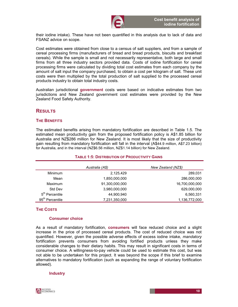

their iodine intake). These have not been quantified in this analysis due to lack of data and FSANZ advice on scope.

Cost estimates were obtained from close to a census of salt suppliers, and from a sample of cereal processing firms (manufacturers of bread and bread products, biscuits and breakfast cereals). While the sample is small and not necessarily representative, both large and small firms from all three industry sectors provided data. Costs of iodine fortification for cereal processing firms were calculated by dividing total cost estimates from each company by the amount of salt input the company purchased, to obtain a cost per kilogram of salt. These unit costs were then multiplied by the total production of salt supplied to the processed cereal products industry to obtain total industry costs.

Australian jurisdictional government costs were based on indicative estimates from two jurisdictions and New Zealand government cost estimates were provided by the New Zealand Food Safety Authority.

#### **RESULTS**

#### THE BENEFITS

The estimated benefits arising from mandatory fortification are described in Table 1.5. The estimated mean productivity gain from the proposed fortification policy is A\$1.85 billion for Australia and NZ\$286 million for New Zealand. It is most likely that the size of productivity gain resulting from mandatory fortification will fall in the interval (A\$44.9 million, A\$7.23 billion) for Australia, and in the interval (NZ\$6.56 million, NZ\$1.14 billion) for New Zealand.

|                             | <b>I APLE TIVI PIDITNEU I DI UN DI TIVIO DI ITTI DAINU</b> |                    |  |
|-----------------------------|------------------------------------------------------------|--------------------|--|
|                             | Australia (A\$)                                            | New Zealand (NZ\$) |  |
| Minimum                     | 2,125,429                                                  | 289,031            |  |
| Mean                        | 1,850,000,000                                              | 286,000,000        |  |
| Maximum                     | 91,300,000,000                                             | 16,700,000,000     |  |
| Std Dev                     | 3,980,000,000                                              | 629,000,000        |  |
| 5 <sup>th</sup> Percentile  | 44.900.940                                                 | 6,560,331          |  |
| 95 <sup>th</sup> Percentile | 7,231,350,000                                              | 1,136,772,000      |  |

#### TABLE 1:5: DISTRIBUTION OF PRODUCTIVITY GAINS

#### THE COSTS

#### Consumer choice

As a result of mandatory fortification, consumers will face reduced choice and a slight increase in the price of processed cereal products. The cost of reduced choice was not quantified. However, given the possible adverse effects of excess iodine intake, mandatory fortification prevents consumers from avoiding fortified products unless they make considerable changes to their dietary habits. This may result in significant costs in terms of consumer choice. A willingness-to-pay vehicle could be used to estimate this cost, but was not able to be undertaken for this project. It was beyond the scope if this brief to examine alternatives to mandatory fortification (such as expanding the range of voluntary fortification allowed).

#### **Industry**

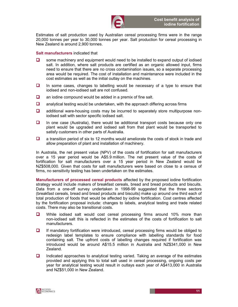

Estimates of salt production used by Australian cereal processing firms were in the range 20,000 tonnes per year to 30,000 tonnes per year. Salt production for cereal processing in New Zealand is around 2,900 tonnes.

#### Salt manufacturers indicated that

- $\Box$  some machinery and equipment would need to be installed to expand output of iodised salt. In addition, where salt products are certified as an organic allowed input, firms need to ensure that there are no cross contamination issues, so a separate processing area would be required. The cost of installation and maintenance were included in the cost estimates as well as the initial outlay on the machines.
- $\Box$  In some cases, changes to labelling would be necessary of a type to ensure that iodised and non-iodised salt are not confused.
- $\Box$  an iodine compound would be added in a premix of fine salt.
- $\Box$  analytical testing would be undertaken, with the approach differing across firms
- $\Box$  additional ware-housing costs may be incurred to separately store multipurpose noniodised salt with sector specific iodised salt.
- $\Box$  In one case (Australia), there would be additional transport costs because only one plant would be upgraded and iodised salt from that plant would be transported to satisfy customers in other parts of Australia.
- $\Box$  a transition period of six to 12 months would ameliorate the costs of stock in trade and allow preparation of plant and installation of machinery.

In Australia, the net present value (NPV) of the costs of fortification for salt manufacturers over a 15 year period would be A\$5.9 million. The net present value of the costs of fortification for salt manufacturers over a 15 year period in New Zealand would be NZ\$508,000. Given that costs for salt manufacturers were based on close to a census of firms, no sensitivity testing has been undertaken on the estimates.

Manufacturers of processed cereal products affected by the proposed iodine fortification strategy would include makers of breakfast cereals, bread and bread products and biscuits. Data from a one-off survey undertaken in 1998-99 suggested that the three sectors (breakfast cereals, bread and bread products and biscuits) make up around one third each of total production of foods that would be affected by iodine fortification. Cost centres affected by the fortification proposal include: changes to labels, analytical testing and trade related costs. There may also be transitional costs.

- **Q** While iodised salt would cost cereal processing firms around 10% more than non-iodised salt this is reflected in the estimates of the costs of fortification to salt manufacturers.
- $\Box$  If mandatory fortification were introduced, cereal processing firms would be obliged to redesign label templates to ensure compliance with labelling standards for food containing salt. The upfront costs of labelling changes required if fortification was introduced would be around A\$15.5 million in Australia and NZ\$341,000 in New Zealand.
- $\Box$  Indicated approaches to analytical testing varied. Taking an average of the estimates provided and applying this to total salt used in cereal processing, ongoing costs per year for analytical testing would result in outlays each year of A\$413,000 in Australia and NZ\$51,000 in New Zealand.

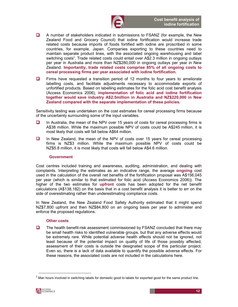

- $\Box$  A number of stakeholders indicated in submissions to FSANZ (for example, the New Zealand Food and Grocery Council) that iodine fortification would increase trade related costs because imports of foods fortified with iodine are proscribed in some countries, for example, Japan. Companies exporting to these countries need to maintain separate product lines, with the associated ongoing warehousing and label switching costs<sup>2</sup>. Trade related costs could entail over A\$2.3 million in ongoing outlays per year in Australia and more than NZ\$280,000 in ongoing outlays per year in New Zealand. Importantly, trade related costs comprise 85% of all ongoing costs to cereal processing firms per year associated with iodine fortification.
- $\Box$  Firms have requested a transition period of 12 months to four years to ameliorate labelling costs, and facilitate adjustments necessary to accommodate exports of unfortified products. Based on labelling estimates for the folic acid cost benefit analysis (Access Economics 2006), implementation of folic acid and iodine fortification together would save industry A\$2.5million in Australia and NZ\$220,000 in New Zealand compared with the separate implementation of these policies.

Sensitivity testing was undertaken on the cost estimates for cereal processing firms because of the uncertainty surrounding some of the input variables.

- $\Box$  In Australia, the mean of the NPV over 15 years of costs for cereal processing firms is A\$38 million. While the maximum possible NPV of costs could be A\$245 million, it is most likely that costs will fall below A\$64 million.
- $\Box$  In New Zealand, the mean of the NPV of costs over 15 years for cereal processing firms is NZ\$3 million. While the maximum possible NPV of costs could be NZ\$5.8 million, it is most likely that costs will fall below A\$4.6 million.

#### **Government**

Cost centres included training and awareness, auditing, administration, and dealing with complaints. Interpreting the estimates as an indicative range, the average ongoing cost used in the calculation of the overall net benefits of the fortification proposal was A\$156,045 per year (which is similar to that estimated for folic acid (Access Economics 2006)). The higher of the two estimates for upfront costs has been adopted for the net benefit calculations (A\$138,182) on the basis that in a cost benefit analysis it is better to err on the side of overestimating rather than underestimating compliance costs.

In New Zealand, the New Zealand Food Safety Authority estimated that it might spend NZ\$7,800 upfront and then NZ\$84,800 on an ongoing basis per year to administer and enforce the proposed regulations.

#### Other costs

 $\Box$  The health benefit-risk assessment commissioned by FSANZ concluded that there may be small health risks to identified vulnerable groups, but that any adverse effects would be extremely rare. While potential adverse health effects should not be ignored, not least because of the potential impact on quality of life of those possibly affected, assessment of their costs is outside the designated scope of this particular project. Even so, there is a lack of data available to quantify the possible adverse effects. For these reasons, the associated costs are not included in the calculations here.

1

 $^2$  Man hours involved in switching labels for domestic good to labels for exported good for the same product line.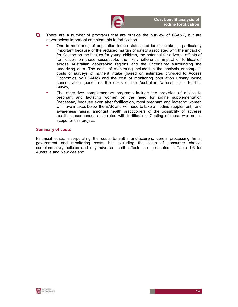

- $\Box$  There are a number of programs that are outside the purview of FSANZ, but are nevertheless important complements to fortification.
	- One is monitoring of population iodine status and iodine intake particularly important because of the reduced margin of safety associated with the impact of fortification on the intakes for young children, the potential for adverse effects of fortification on those susceptible, the likely differential impact of fortification across Australian geographic regions and the uncertainty surrounding the underlying data. The costs of monitoring included in the analysis encompass costs of surveys of nutrient intake (based on estimates provided to Access Economics by FSANZ) and the cost of monitoring population urinary iodine concentration (based on the costs of the Australian National Iodine Nutrition Survey).
	- The other two complementary programs include the provision of advice to pregnant and lactating women on the need for iodine supplementation (necessary because even after fortification, most pregnant and lactating women will have intakes below the EAR and will need to take an iodine supplement), and awareness raising amongst health practitioners of the possibility of adverse health consequences associated with fortification. Costing of these was not in scope for this project.

#### Summary of costs

Financial costs, incorporating the costs to salt manufacturers, cereal processing firms, government and monitoring costs, but excluding the costs of consumer choice, complementary policies and any adverse health effects, are presented in Table 1.6 for Australia and New Zealand.

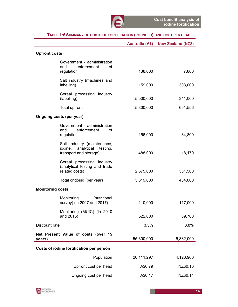|                                                                                      | <b>Australia (A\$)</b> | <b>New Zealand (NZ\$)</b> |
|--------------------------------------------------------------------------------------|------------------------|---------------------------|
| <b>Upfront costs</b>                                                                 |                        |                           |
| Government - administration<br>enforcement<br>and<br>οf<br>regulation                | 138,000                | 7,800                     |
| Salt industry (machines and<br>labelling)                                            | 159,000                | 303,000                   |
| Cereal processing industry<br>(labelling)                                            | 15,500,000             | 341,000                   |
| Total upfront                                                                        | 15,800,000             | 651,556                   |
| Ongoing costs (per year)                                                             |                        |                           |
| Government - administration<br>enforcement<br>and<br>οf<br>regulation                | 156,000                | 84,800                    |
| Salt industry (maintenance,<br>iodine, analytical testing,<br>transport and storage) | 488,000                | 18,170                    |
| Cereal processing industry<br>(analytical testing and trade<br>related costs)        | 2,675,000              | 331,500                   |
| Total ongoing (per year)                                                             | 3,319,000              | 434,000                   |
| <b>Monitoring costs</b>                                                              |                        |                           |
| Monitoring<br>(nutritional<br>survey) (in 2007 and 2017)                             | 110,000                | 117,000                   |
| Monitoring (MUIC) (in 2010<br>and 2015)                                              | 522,000                | 89,700                    |
| Discount rate                                                                        | 3.3%                   | 3.8%                      |
| Net Present Value of costs (over 15<br>years)                                        | 55,600,000             | 5,882,000                 |
| Costs of iodine fortification per person                                             |                        |                           |
| Population                                                                           | 20,111,297             | 4,120,900                 |
| Upfront cost per head                                                                | A\$0.79                | NZ\$0.16                  |
| Ongoing cost per head                                                                | A\$0.17                | NZ\$0.11                  |

#### TABLE 1:6 SUMMARY OF COSTS OF FORTIFICATION (ROUNDED), AND COST PER HEAD

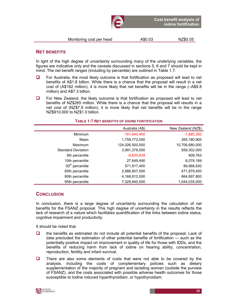

#### NET BENEFITS

In light of the high degree of uncertainty surrounding many of the underlying variables, the figures are indicative only and the caveats discussed in sections 5, 6 and 7 should be kept in mind. The net benefit ranges (including by percentile) are outlined in Table 1.7.

- $\Box$  For Australia, the most likely outcome is that fortification as proposed will lead to net benefits of A\$1.8 billion. While there is a chance that the proposal will result in a net cost of (A\$162 million), it is more likely that net benefits will be in the range (–A\$9.8 million) and A\$7.3 billion.
- $\Box$  For New Zealand, the likely outcome is that fortification as proposed will lead to net benefits of NZ\$265 million. While there is a chance that the proposal will results in a net cost of (NZ\$7.9 million), it is more likely that net benefits will be in the range NZ\$910,000 to NZ\$1.0 billion.

|                             | Australia (A\$) | New Zealand (NZ\$) |
|-----------------------------|-----------------|--------------------|
| Minimum                     | $-161,840,400$  | $-7,885,350$       |
| Mean                        | 1,759,772,000   | 265,180,900        |
| Maximum                     | 124,026,500,000 | 10,706,680,000     |
| <b>Standard Deviation</b>   | 3,991,378,000   | 559,302,000        |
| 5th percentile              | $-9,835,839$    | 909,763            |
| 10th percentile             | 27,649,490      | 6,078,189          |
| 50 <sup>th</sup> percentile | 571,817,400     | 89,968,930         |
| 85th percentile             | 2,986,907,000   | 471,879,400        |
| 90th percentile             | 4,168,812,000   | 664,897,800        |
| 95th percentile             | 7,329,940,000   | 1,044,035,000      |

#### TABLE 1:7 NET BENEFITS OF IODINE FORTIFICATION

#### **CONCLUSION**

In conclusion, there is a large degree of uncertainty surrounding the calculation of net benefits for the FSANZ proposal. This high degree of uncertainty in the results reflects the lack of research of a nature which facilitates quantification of the links between iodine status, cognitive impairment and productivity.

It should be noted that

- $\Box$  the benefits as estimated do not include all potential benefits of the proposal. Lack of data precluded the estimation of other potential benefits of fortification — such as the potentially positive impact on improvement in quality of life for those with IDDs, and the benefits of reducing harm from lack of iodine on hearing ability, concentration, reproduction, fertility and infant survival.
- $\Box$  There are also some elements of costs that were not able to be covered by the analysis, including the costs of complementary policies such as dietary supplementation of the majority of pregnant and lactating women (outside the purview of FSANZ), and the costs associated with possible adverse health outcomes for those susceptible to Iodine induced hyperthyroidism, or hypothyroidism.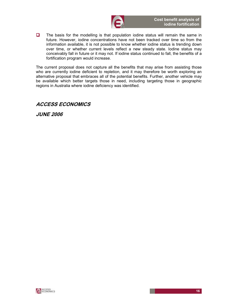

 $\Box$  The basis for the modelling is that population iodine status will remain the same in future. However, iodine concentrations have not been tracked over time so from the information available, it is not possible to know whether iodine status is trending down over time, or whether current levels reflect a new steady state. Iodine status may conceivably fall in future or it may not. If iodine status continued to fall, the benefits of a fortification program would increase.

The current proposal does not capture all the benefits that may arise from assisting those who are currently iodine deficient to repletion, and it may therefore be worth exploring an alternative proposal that embraces all of the potential benefits. Further, another vehicle may be available which better targets those in need, including targeting those in geographic regions in Australia where iodine deficiency was identified.

## ACCESS ECONOMICS

JUNE 2006

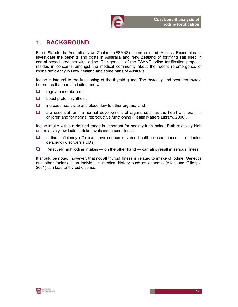

# 1. BACKGROUND

Food Standards Australia New Zealand (FSANZ) commissioned Access Economics to investigate the benefits and costs in Australia and New Zealand of fortifying salt used in cereal based products with iodine. The genesis of the FSANZ iodine fortification proposal resides in concerns amongst the medical community about the recent re-emergence of iodine deficiency in New Zealand and some parts of Australia.

Iodine is integral to the functioning of the thyroid gland. The thyroid gland secretes thyroid hormones that contain iodine and which:

- $\Box$  regulate metabolism;
- $\Box$  boost protein synthesis;
- $\Box$  increase heart rate and blood flow to other organs; and
- $\Box$  are essential for the normal development of organs such as the heart and brain in children and for normal reproductive functioning (Health Matters Library, 2006).

Iodine intake within a defined range is important for healthy functioning. Both relatively high and relatively low iodine intake levels can cause illness.

- $\Box$  Iodine deficiency (ID) can have serious adverse health consequences or iodine deficiency disorders (IDDs).
- $\Box$  Relatively high iodine intakes on the other hand can also result in serious illness.

It should be noted, however, that not all thyroid illness is related to intake of iodine. Genetics and other factors in an individual's medical history such as anaemia (Allen and Gillespie 2001) can lead to thyroid disease.

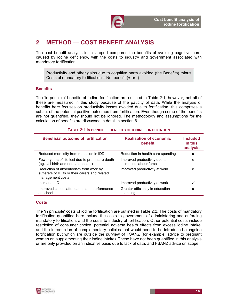

# 2. METHOD — COST BENEFIT ANALYSIS

The cost benefit analysis in this report compares the benefits of avoiding cognitive harm caused by iodine deficiency, with the costs to industry and government associated with mandatory fortification.

Productivity and other gains due to cognitive harm avoided (the Benefits) minus Costs of mandatory fortification = Net benefit  $(+ or -)$ 

#### **Benefits**

The 'in principle' benefits of iodine fortification are outlined in Table 2:1, however, not all of these are measured in this study because of the paucity of data. While the analysis of benefits here focuses on productivity losses avoided due to fortification, this comprises a subset of the potential positive outcomes from fortification. Even though some of the benefits are not quantified, they should not be ignored. The methodology and assumptions for the calculation of benefits are discussed in detail in section 6.

#### TABLE 2:1 IN PRINCIPLE BENEFITS OF IODINE FORTIFICATION

| <b>Beneficial outcome of fortification</b>                                                                 | <b>Realisation of economic</b><br>benefit              | <b>Included</b><br>in this<br>analysis |
|------------------------------------------------------------------------------------------------------------|--------------------------------------------------------|----------------------------------------|
| Reduced morbidity from reduction in IDDs                                                                   | Reduction in health care spending                      | ×                                      |
| Fewer years of life lost due to premature death<br>(eg. still birth and neonatal death)                    | Improved productivity due to<br>increased labour force | ×                                      |
| Reduction of absenteeism from work by<br>sufferers of IDDs or their carers and related<br>management costs | Improved productivity at work                          | ×                                      |
| Increased IQ                                                                                               | Improved productivity at work                          | ✓                                      |
| Improved school attendance and performance<br>at school                                                    | Greater efficiency in education<br>spending            | ×                                      |

#### Costs

The 'in principle' costs of iodine fortification are outlined in Table 2:2. The costs of mandatory fortification quantified here include the costs to government of administering and enforcing mandatory fortification, and the costs to industry of fortification. Other potential costs include restriction of consumer choice, potential adverse health effects from excess iodine intake, and the introduction of complementary policies that would need to be introduced alongside fortification but which are outside the purview of FSANZ (for example, advice to pregnant women on supplementing their iodine intake). These have not been quantified in this analysis or are only provided on an indicative basis due to lack of data, and FSANZ advice on scope.

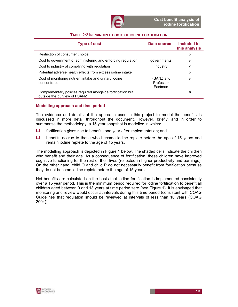

| <b>Type of cost</b>                                                                         | Data source                       | Included in<br>this analysis |
|---------------------------------------------------------------------------------------------|-----------------------------------|------------------------------|
| Restriction of consumer choice                                                              |                                   | $\pmb{\times}$               |
| Cost to government of administering and enforcing regulation                                | governments                       | ✓                            |
| Cost to industry of complying with regulation                                               | Industry                          | ✓                            |
| Potential adverse health effects from excess jodine intake                                  |                                   | $\mathbf x$                  |
| Cost of monitoring nutrient intake and urinary iodine<br>concentration                      | FSANZ and<br>Professor<br>Eastman | ✓                            |
| Complementary policies required alongside fortification but<br>outside the purview of FSANZ |                                   | ×                            |

#### TABLE 2:2 IN PRINCIPLE COSTS OF IODINE FORTIFICATION

#### Modelling approach and time period

The evidence and details of the approach used in this project to model the benefits is discussed in more detail throughout the document. However, briefly, and in order to summarise the methodology, a 15 year snapshot is modelled in which:

- $\Box$  fortification gives rise to benefits one year after implementation; and
- $\Box$  benefits accrue to those who become iodine replete before the age of 15 years and remain iodine replete to the age of 15 years.

The modelling approach is depicted in Figure 1 below. The shaded cells indicate the children who benefit and their age. As a consequence of fortification, these children have improved cognitive functioning for the rest of their lives (reflected in higher productivity and earnings). On the other hand, child O and child P do not necessarily benefit from fortification because they do not become iodine replete before the age of 15 years.

Net benefits are calculated on the basis that iodine fortification is implemented consistently over a 15 year period. This is the minimum period required for iodine fortification to benefit all children aged between 0 and 13 years at time period zero (see Figure 1). It is envisaged that monitoring and review would occur at intervals during this time period (consistent with COAG Guidelines that regulation should be reviewed at intervals of less than 10 years (COAG 2004)).

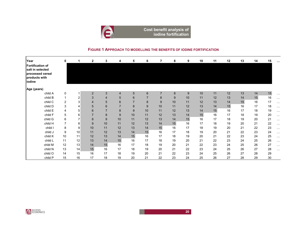

Cost benefit analysis of iodine fortification

### FIGURE 1 <sup>A</sup>PPROACH TO MODELLING THE BENEFITS OF IODINE FORTIFICATION

| Year                                                                                 | 0              | 1  | $\mathbf{2}$   | 3              | 4              | 5  | 6               | 7              | 8  | 9  | 10 | 11 | 12 | 13 | 14 | 15 | $\cdots$             |
|--------------------------------------------------------------------------------------|----------------|----|----------------|----------------|----------------|----|-----------------|----------------|----|----|----|----|----|----|----|----|----------------------|
| Fortification of<br>salt in selected<br>processed cereal<br>products with<br>liodine |                |    |                |                |                |    |                 |                |    |    |    |    |    |    |    |    |                      |
| Age (years)                                                                          |                |    |                |                |                |    |                 |                |    |    |    |    |    |    |    |    |                      |
| child A                                                                              | 0              |    | $\overline{2}$ | 3              | $\overline{4}$ | 5  | $6\phantom{1}6$ | $\overline{7}$ | 8  | 9  | 10 | 11 | 12 | 13 | 14 | 15 | $\cdots$             |
| child B                                                                              | 1              | 2  | 3              | $\overline{4}$ | 5              | 6  |                 | 8              | 9  | 10 | 11 | 12 | 13 | 14 | 15 | 16 | $\sim$ $\sim$ $\sim$ |
| child C                                                                              | $\overline{2}$ | 3  | $\overline{4}$ | 5              | 6              |    | 8               | 9              | 10 | 11 | 12 | 13 | 14 | 15 | 16 | 17 | $\sim$ $\sim$ $\sim$ |
| child D                                                                              | 3              | 4  | 5              | 6              |                | 8  | 9               | 10             | 11 | 12 | 13 | 14 | 15 | 16 | 17 | 18 | $\cdots$             |
| child E                                                                              | 4              | 5  | 6              | $\overline{7}$ | 8              | 9  | 10              | 11             | 12 | 13 | 14 | 15 | 16 | 17 | 18 | 19 | $\ldots$             |
| child F                                                                              | 5              | 6  | $\overline{7}$ | 8              | 9              | 10 | 11              | 12             | 13 | 14 | 15 | 16 | 17 | 18 | 19 | 20 | $\cdots$             |
| child G                                                                              | 6              | 7  | 8              | 9              | 10             | 11 | 12              | 13             | 14 | 15 | 16 | 17 | 18 | 19 | 20 | 21 | $\sim$ $\sim$ $\sim$ |
| child H                                                                              | 7              | 8  | 9              | 10             | 11             | 12 | 13              | 14             | 15 | 16 | 17 | 18 | 19 | 20 | 21 | 22 | $\sim$ $\sim$ $\sim$ |
| child I                                                                              | 8              | 9  | 10             | 11             | 12             | 13 | 14              | 15             | 16 | 17 | 18 | 19 | 20 | 21 | 22 | 23 | $\cdots$             |
| child J                                                                              | 9              | 10 | 11             | 12             | 13             | 14 | 15              | 16             | 17 | 18 | 19 | 20 | 21 | 22 | 23 | 24 | $\cdots$             |
| child K                                                                              | 10             | 11 | 12             | 13             | 14             | 15 | 16              | 17             | 18 | 19 | 20 | 21 | 22 | 23 | 24 | 25 | $\ldots$             |
| child L                                                                              | 11             | 12 | 13             | 14             | 15             | 16 | 17              | 18             | 19 | 20 | 21 | 22 | 23 | 24 | 25 | 26 | $\sim$ $\sim$ $\sim$ |
| child M                                                                              | 12             | 13 | 14             | 15             | 16             | 17 | 18              | 19             | 20 | 21 | 22 | 23 | 24 | 25 | 26 | 27 | $\cdots$             |
| child N                                                                              | 13             | 14 | 15             | 16             | 17             | 18 | 19              | 20             | 21 | 22 | 23 | 24 | 25 | 26 | 27 | 28 | $\cdots$             |
| child O                                                                              | 14             | 15 | 16             | 17             | 18             | 19 | 20              | 21             | 22 | 23 | 24 | 25 | 26 | 27 | 28 | 29 |                      |
| child P                                                                              | 15             | 16 | 17             | 18             | 19             | 20 | 21              | 22             | 23 | 24 | 25 | 26 | 27 | 28 | 29 | 30 |                      |



20

 $\overline{O}$  and  $\overline{O}$  and  $\overline{O}$  and  $\overline{O}$  and  $\overline{O}$  and  $\overline{O}$  and  $\overline{O}$  and  $\overline{O}$  and  $\overline{O}$  and  $\overline{O}$  and  $\overline{O}$  and  $\overline{O}$  and  $\overline{O}$  and  $\overline{O}$  and  $\overline{O}$  and  $\overline{O}$  and  $\overline{O}$  and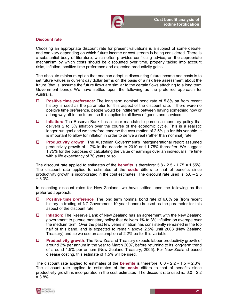

#### Discount rate

Choosing an appropriate discount rate for present valuations is a subject of some debate, and can vary depending on which future income or cost stream is being considered. There is a substantial body of literature, which often provides conflicting advice, on the appropriate mechanism by which costs should be discounted over time, properly taking into account risks, inflation, positive time preference and expected productivity gains.

The absolute minimum option that one can adopt in discounting future income and costs is to set future values in current day dollar terms on the basis of a risk free assessment about the future (that is, assume the future flows are similar to the certain flows attaching to a long term Government bond). We have settled upon the following as the preferred approach for Australia.

- **Positive time preference:** The long term nominal bond rate of 5.8% pa from recent history is used as the parameter for this aspect of the discount rate. If there were no positive time preference, people would be indifferent between having something now or a long way off in the future, so this applies to all flows of goods and services.
- **Inflation:** The Reserve Bank has a clear mandate to pursue a monetary policy that delivers 2 to 3% inflation over the course of the economic cycle. This is a realistic longer run goal and we therefore endorse the assumption of 2.5% pa for this variable. It is important to allow for inflation in order to derive a real (rather than nominal) rate.
- **D** Productivity growth: The Australian Government's Intergenerational report assumed productivity growth of 1.7% in the decade to 2010 and 1.75% thereafter. We suggest 1.75% for the purposes of calculating the value of earnings over an individual's life time with a life expectancy of 70 years or so.

The discount rate applied to estimates of the benefits is therefore: 5.8 - 2.5 - 1.75 = 1.55%. The discount rate applied to estimates of the **costs** differs to that of benefits since productivity growth is incorporated in the cost estimates The discount rate used is:  $5.8 - 2.5$  $= 3.3\%$ .

In selecting discount rates for New Zealand, we have settled upon the following as the preferred approach.

- **Positive time preference:** The long term nominal bond rate of 6.0% pa (from recent history in trading of NZ Government 10 year bonds) is used as the parameter for this aspect of the discount rate.
- □ Inflation: The Reserve Bank of New Zealand has an agreement with the New Zealand government to pursue monetary policy that delivers 1% to 3% inflation on average over the medium term. Over the past few years inflation has consistently remained in the top half of this band, and is expected to remain above 2.5% until 2008 (New Zealand Treasury) and so we use an assumption of 2.2% pa for this variable.
- **Productivity growth:** The New Zealand Treasury expects labour productivity growth of around 2% per annum in the year to March 2007, before returning to its long-term trend of around 1.5% per annum (New Zealand Treasury, 2005). For New Zealand based disease costing, this estimate of 1.5% will be used.

The discount rate applied to estimates of the **benefits** is therefore:  $6.0 - 2.2 - 1.5 = 2.3\%$ . The discount rate applied to estimates of the **costs** differs to that of benefits since productivity growth is incorporated in the cost estimates The discount rate used is: 6.0 - 2.2  $= 3.8\%$ .

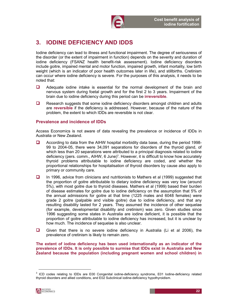

# 3. IODINE DEFICIENCY AND IDDS

Iodine deficiency can lead to illness and functional impairment. The degree of seriousness of the disorder (or the extent of impairment in function) depends on the severity and duration of iodine deficiency (FSANZ health benefit-risk assessment). Iodine deficiency disorders include goitre, impaired mental and motor function, impaired growth, infant mortality, low birth weight (which is an indicator of poor health outcomes later in life), and stillbirths. Cretinism can occur where iodine deficiency is severe. For the purposes of this analysis, it needs to be noted that:

- **Q** Adequate iodine intake is essential for the normal development of the brain and nervous system during foetal growth and for the first 2 to 3 years. Impairment of the brain due to iodine deficiency during this period can be **irreversible**.
- $\Box$  Research suggests that some iodine deficiency disorders amongst children and adults are reversible if the deficiency is addressed. However, because of the nature of the problem, the extent to which IDDs are reversible is not clear.

#### Prevalence and incidence of IDDs

Access Economics is not aware of data revealing the prevalence or incidence of IDDs in Australia or New Zealand.

- $\Box$  According to data from the AIHW hospital morbidity data base, during the period 1998-99 to 2004-05, there were 34,091 separations for disorders of the thyroid gland, of which less than 20 separations were attributed to a principal diagnosis related to iodine deficiency (pers. comm., AIHW, 6 June)<sup>3</sup>. However, it is difficult to know how accurately thyroid problems attributable to iodine deficiency are coded, and whether the proportional relationships for hospitalisation of thyroid disorders by cause also apply to primary or community care.
- In 1996, advice from clinicians and nutritionists to Mathers et al (1999) suggested that the proportion of goitre attributable to dietary iodine deficiency was very low (around 5%), with most goitre due to thyroid diseases. Mathers et al (1999) based their burden of disease estimates for goitre due to iodine deficiency on the assumption that 5% of the annual admissions for goitre at that time (1225 males and 6048 females) were grade 2 goitre (palpable and visible goitre) due to iodine deficiency, and that any resulting disability lasted for 2 years. They assumed the incidence of other sequelae (for example, developmental disability and cretinism) was zero. Given studies since 1996 suggesting some states in Australia are iodine deficient, it is possible that the proportion of goitre attributable to iodine deficiency has increased, but it is unclear by how much. The incidence of sequelae is also unclear.
- Given that there is no severe iodine deficiency in Australia (Li et al 2006), the prevalence of cretinism is likely to remain zero.

The extent of iodine deficiency has been used internationally as an indicator of the prevalence of IDDs. It is only possible to surmise that IDDs exist in Australia and New Zealand because the population (including pregnant women and school children) in

<sup>&</sup>lt;sup>3</sup> ICD codes relating to IDDs are E00 Congenital iodine-deficiency syndrome, E01 Iodine-deficiency related thyroid disorders and allied conditions, and E02 Subclinical iodine-deficiency hypothyroidism.



1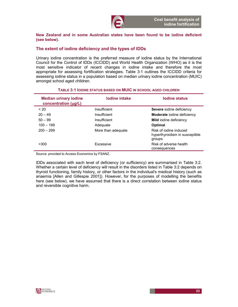

New Zealand and in some Australian states have been found to be iodine deficient (see below).

#### The extent of iodine deficiency and the types of IDDs

Urinary iodine concentration is the preferred measure of iodine status by the International Council for the Control of IDDs (ICCIDD) and World Health Organization (WHO) as it is the most sensitive indicator of recent changes in iodine intake and therefore the most appropriate for assessing fortification strategies. Table 3:1 outlines the ICCIDD criteria for assessing iodine status in a population based on median urinary iodine concentration (MUIC) amongst school aged children.

| <b>Median urinary iodine</b><br>concentration (µg/L) | lodine intake      | lodine status                                                      |
|------------------------------------------------------|--------------------|--------------------------------------------------------------------|
| ~120                                                 | Insufficient       | Severe iodine deficiency                                           |
| $20 - 49$                                            | Insufficient       | <b>Moderate</b> iodine deficiency                                  |
| $50 - 99$                                            | Insufficient       | <b>Mild</b> iodine deficiency                                      |
| $100 - 199$                                          | Adequate           | Optimal                                                            |
| $200 - 299$                                          | More than adequate | Risk of jodine induced<br>hyperthyroidism in susceptible<br>groups |
| >300                                                 | Excessive          | Risk of adverse health<br>consequences                             |

#### TABLE 3:1 IODINE STATUS BASED ON MUIC IN SCHOOL AGED CHILDREN

Source: provided to Access Economics by FSANZ.

IDDs associated with each level of deficiency (or sufficiency) are summarised in Table 3:2. Whether a certain level of deficiency will result in the disorders listed in Table 3:2 depends on thyroid functioning, family history, or other factors in the individual's medical history (such as anaemia [Allen and Gillespie 2001]). However, for the purposes of modelling the benefits here (see below), we have assumed that there is a direct correlation between iodine status and reversible cognitive harm.

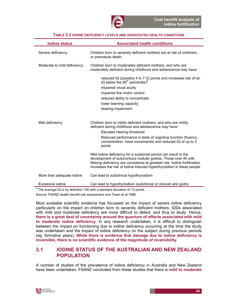

| TABLE 3:2 IODINE DEFICIENCY LEVELS AND ASSOCIATED HEALTH CONDITIONS |
|---------------------------------------------------------------------|
|---------------------------------------------------------------------|

| <b>lodine status</b>        | <b>Associated health conditions</b>                                                                                                                                                                                                                                                       |
|-----------------------------|-------------------------------------------------------------------------------------------------------------------------------------------------------------------------------------------------------------------------------------------------------------------------------------------|
| Severe deficiency           | Children born to severely deficient mothers are at risk of cretinism,<br>or premature death.                                                                                                                                                                                              |
| Moderate to mild deficiency | Children born to moderately deficient mothers, and who are<br>moderately deficient during childhood and adolescence may have:                                                                                                                                                             |
|                             | reduced IQ (possibly 4 to 7 IQ points and increased risk of an<br>IQ below the 85 <sup>th</sup> percentile) <sup>a</sup><br>Impaired visual acuity<br>Impaired fine motor control<br>reduced ability to concentrate<br>lower learning capacity<br>hearing impairment                      |
| Mild deficiency             | Children born to mildly deficient mothers, and who are mildly<br>deficient during childhood and adolescence may have:<br>Elevated hearing threshold<br>Reduced performance in tests of cognitive function (fluency,<br>concentration, hand movements) and reduced IQ of up to 3<br>points |
|                             | Mild iodine deficiency for a sustained period can result in the<br>development of autonomous nodular goitres. Those over 40 with<br>lifelong deficiency are considered at greatest risk. Iodine fortification<br>increases the risk of iodine induced hyperthyroidism in these people.    |
| More than adequate iodine   | Can lead to subclinical hypothyroidism                                                                                                                                                                                                                                                    |
| Excessive jodine            | Can lead to hypothyroidism (subclinical or clinical) and goitre                                                                                                                                                                                                                           |
|                             | <sup>a</sup> The average IQ is by definition 100 with a standard deviation of 15 points.                                                                                                                                                                                                  |

Source: FSANZ health benefit-risk assessment and Tiwari et al 1996.

Most available scientific evidence has focussed on the impact of severe iodine deficiency particularly on the impact on children born to severely deficient mothers. IDDs associated with mild and moderate deficiency are more difficult to detect, and thus to study. Hence, there is a great deal of uncertainty around the quantum of effects associated with mild to moderate iodine deficiency. In any research undertaken, it is difficult to distinguish between the impact on functioning due to iodine deficiency occurring at the time the study was undertaken and the impact of iodine deficiency on the subject during previous periods (eg. formative years). While there is evidence that damage due to iodine deficiency is reversible, there is no scientific evidence of the magnitude of reversibility.

### 3.1 IODINE STATUS OF THE AUSTRALIAN AND NEW ZEALAND POPULATION

A number of studies of the prevalence of iodine deficiency in Australia and New Zealand have been undertaken. FSANZ concluded from these studies that there is mild to moderate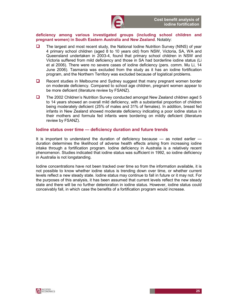#### deficiency among various investigated groups (including school children and pregnant women) in South Eastern Australia and New Zealand. Notably:

- The largest and most recent study, the National Iodine Nutrition Survey (NINS) of year 4 primary school children (aged 8 to 10 years old) from NSW, Victoria, SA, WA and Queensland undertaken in 2003-4, found that primary school children in NSW and Victoria suffered from mild deficiency and those in SA had borderline iodine status (Li et al 2006). There were no severe cases of iodine deficiency (pers. comm. Mu Li, 14 June 2006). Tasmania was excluded from the study as it has an iodine fortification program, and the Northern Territory was excluded because of logistical problems.
- Recent studies in Melbourne and Sydney suggest that many pregnant women border on moderate deficiency. Compared to school age children, pregnant women appear to be more deficient (literature review by FSANZ).
- The 2002 Children's Nutrition Survey conducted amongst New Zealand children aged 5 to 14 years showed an overall mild deficiency, with a substantial proportion of children being moderately deficient (25% of males and 31% of females). In addition, breast fed infants in New Zealand showed moderate deficiency indicating a poor iodine status in their mothers and formula fed infants were bordering on mildly deficient (literature review by FSANZ).

#### Iodine status over time — deficiency duration and future trends

It is important to understand the duration of deficiency because — as noted earlier duration determines the likelihood of adverse health effects arising from increasing iodine intake through a fortification program. Iodine deficiency in Australia is a relatively recent phenomenon. Studies indicated that iodine status was sufficient in 1992, so iodine deficiency in Australia is not longstanding.

Iodine concentrations have not been tracked over time so from the information available, it is not possible to know whether iodine status is trending down over time, or whether current levels reflect a new steady state. Iodine status may continue to fall in future or it may not. For the purposes of this analysis, it has been assumed that current levels reflect the new steady state and there will be no further deterioration in iodine status. However, iodine status could conceivably fall, in which case the benefits of a fortification program would increase.

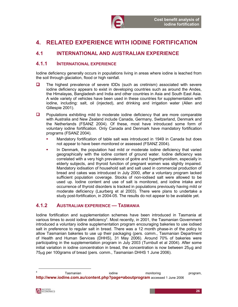

# 4. RELATED EXPERIENCE WITH IODINE FORTIFICATION

### 4.1 INTERNATIONAL AND AUSTRALIAN EXPERIENCE

### 4.1.1 INTERNATIONAL EXPERIENCE

Iodine deficiency generally occurs in populations living in areas where iodine is leached from the soil through glaciation, flood or high rainfall.

- $\Box$  The highest prevalence of severe IDDs (such as cretinism) associated with severe iodine deficiency appears to exist in developing countries such as around the Andes, the Himalayas, Bangladesh and India and other countries in Asia and South East Asia. A wide variety of vehicles have been used in these countries for supplementation with iodine, including: salt, oil (injected), and drinking and irrigation water (Allen and Gillespie 2001).
- $\Box$  Populations exhibiting mild to moderate iodine deficiency that are more comparable with Australia and New Zealand include Canada, Germany, Switzerland, Denmark and the Netherlands (FSANZ 2004). Of these, most have introduced some form of voluntary iodine fortification. Only Canada and Denmark have mandatory fortification programs (FSANZ 2004).
	- Mandatory fortification of table salt was introduced in 1949 in Canada but does not appear to have been monitored or assessed (FSANZ 2004).
	- In Denmark, the population had mild or moderate iodine deficiency that varied geographically with the iodine content of ground water. Iodine deficiency was correlated with a very high prevalence of goitre and hyperthyroidism, especially in elderly subjects, and thyroid function of pregnant women was slightly impaired. Mandatory iodisation of household salt and salt used in commercial production of bread and cakes was introduced in July 2000, after a voluntary program lacked sufficient population coverage. Stocks of non-iodised salt were allowed to be used up. Iodine content and use of salt is monitored, and iodine intake and occurrence of thyroid disorders is tracked in populations previously having mild or moderate deficiency (Laurberg et al 2003). There were plans to undertake a study post-fortification, in 2004-05. The results do not appear to be available yet.

#### 4.1.2 AUSTRALIAN EXPERIENCE — TASMANIA

Iodine fortification and supplementation schemes have been introduced in Tasmania at various times to avoid iodine deficiency<sup>4</sup>. Most recently, in 2001, the Tasmanian Government introduced a voluntary iodine supplementation program encouraging bakeries to use iodised salt in preference to regular salt in bread. There was a 12 month phase-in of the policy to allow Tasmanian bakeries to use up their packaging (pers. comm., Tasmanian Department of Health and Human Services (DHHS), 31 May 2006). Around 70% of bakeries were participating in the supplementation program in July 2003 (Turnbull et al 2004). After some initial variation in iodine concentration in bread, the concentration is now between 25µg and 75µg per 100grams of bread (pers. comm., Tasmanian DHHS 1 June 2006).

1

<sup>4</sup> Tasmanian iodine monitoring program, http://www.iodine.com.au/content.php?page=aboutprogram accessed 1 June 2006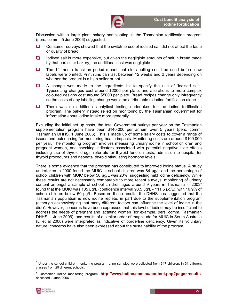Discussion with a large plant bakery participating in the Tasmanian fortification program (pers. comm., 5 June 2006) suggested:

- $\Box$  Consumer surveys showed that the switch to use of iodised salt did not affect the taste or quality of bread.
- $\Box$  Iodised salt is more expensive, but given the negligible amounts of salt in bread made by that particular bakery, the additional cost was negligible.
- $\Box$  The 12 month transition period meant that old labelling could be used before new labels were printed. Print runs can last between 12 weeks and 2 years depending on whether the product is a high seller or not.
- $\Box$  A change was made to the ingredients list to specify the use of 'iodised salt'. Typesetting changes cost around \$2000 per plate, and alterations to more complex coloured designs cost around \$5000 per plate. Bread recipes change only infrequently so the costs of any labelling change would be attributable to iodine fortification alone.
- $\Box$  There was no additional analytical testing undertaken for the iodine fortification program. The bakery instead relied on monitoring by the Tasmanian government for information about iodine intake more generally.

Excluding the initial set up costs, the total Government outlays per year on the Tasmanian supplementation program have been \$140,000 per annum over 5 years (pers. comm. Tasmanian DHHS, 1 June 2006). This is made up of some salary costs to cover a range of issues and outsourcing for monitoring health impacts. Monitoring costs are around \$100,000 per year. The monitoring program involves measuring urinary iodine in school children and pregnant women, and checking indicators associated with potential negative side effects including use of thyroid drugs, referrals for thyroid function tests, admission to hospital for thyroid procedures and neonatal thyroid stimulating hormone levels.

There is some evidence that the program has contributed to improved iodine status. A study undertaken in 2000 found the MUIC in school children was 84 µg/L and the percentage of school children with MUIC below 50 µg/L was 20%, suggesting mild iodine deficiency. While these results are not necessarily comparable to more recent surveys, monitoring of urinary content amongst a sample of school children aged around 9 years in Tasmania in 2003<sup>5</sup> found that the MUIC was 105 µg/L (confidence interval 98.5 µg/L - 111.5 µg/L), with 10.9% of school children below 50 µg/L. Based on these results, the DHHS has suggested that the Tasmanian population is now iodine replete, in part due to the supplementation program (although acknowledging that many different factors can influence the level of iodine in the diet)<sup>6</sup>. However, concerns have been expressed that this level of iodine may be insufficient to address the needs of pregnant and lactating women (for example, pers. comm. Tasmanian DHHS, 1 June 2006), and results of a similar order of magnitude for MUIC in South Australia (Li et al 2006) were interpreted as indicative of borderline deficiency. Given its voluntary nature, concerns have also been expressed about the sustainability of the program.

-

<sup>&</sup>lt;sup>5</sup> Under the school children monitoring program, urine samples were collected from 347 children, in 31 different classes from 29 different schools.

<sup>&</sup>lt;sup>6</sup> Tasmanian iodine monitoring program, http://www.iodine.com.au/content.php?page=results, accessed 1 June 2006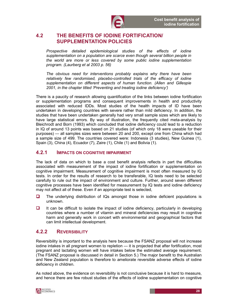

### 4.2 THE BENEFITS OF IODINE FORTIFICATION/ SUPPLEMENTATION POLICIES

Prospective detailed epidemiological studies of the effects of iodine supplementation on a population are scarce even though several billion people in the world are more or less covered by some public iodine supplementation program. (Laurberg et al 2003 p. 56)

The obvious need for interventions probably explains why there have been relatively few randomised, placebo-controlled trials of the efficacy of iodine supplementation on different aspects of human function. (Allen and Gillespie 2001, in the chapter titled 'Preventing and treating iodine deficiency')

There is a paucity of research allowing quantification of the links between iodine fortification or supplementation programs and consequent improvements in health and productivity associated with reduced IDDs. Most studies of the health impacts of ID have been undertaken in developing countries with severe rather than mild deficiency. In addition, the studies that have been undertaken generally had very small sample sizes which are likely to have large statistical errors. By way of illustration, the frequently cited meta-analysis by Bleichrodt and Born (1993) which concluded that iodine deficiency could lead to a reduction in IQ of around 13 points was based on 21 studies (of which only 18 were useable for their purposes) — all samples sizes were between 20 and 200, except one from China which had a sample size of 499. The countries covered were: Indonesia (3 studies), New Guinea (1), Spain (3), China (4), Ecuador (7), Zaire (1), Chile (1) and Bolivia (1).

#### 4.2.1 IMPACTS ON COGNITIVE IMPAIRMENT

The lack of data on which to base a cost benefit analysis reflects in part the difficulties associated with measurement of the impact of iodine fortification or supplementation on cognitive impairment. Measurement of cognitive impairment is most often measured by IQ tests. In order for the results of research to be transferable, IQ tests need to be selected carefully to rule out the impact of environment and culture. Further, around seven different cognitive processes have been identified for measurement by IQ tests and iodine deficiency may not affect all of these. Even if an appropriate test is selected,

- $\Box$  The underlying distribution of IQs amongst those in iodine deficient populations is unknown.
- $\Box$  It can be difficult to isolate the impact of iodine deficiency, particularly in developing countries where a number of vitamin and mineral deficiencies may result in cognitive harm and generally work in concert with environmental and geographical factors that can limit intellectual development.

### 4.2.2 REVERSIBILITY

Reversibility is important to the analysis here because the FSANZ proposal will not increase iodine intakes in all pregnant women to repletion — it is projected that after fortification, most pregnant and lactating women will have intakes below the estimated average requirement. (The FSANZ proposal is discussed in detail in Section 5.) The major benefit to the Australian and New Zealand population is therefore to ameliorate reversible adverse effects of iodine deficiency in children.

As noted above, the evidence on reversibility is not conclusive because it is hard to measure, and hence there are few robust studies of the effects of iodine supplementation on cognitive

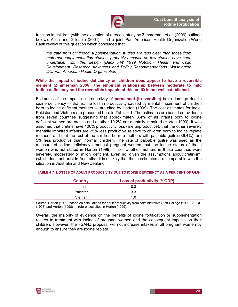

function in children (with the exception of a recent study by Zimmerman et al. (2006) outlined below). Allen and Gillespie (2001) cited a joint Pan American Health Organization-World Bank review of this question which concluded that:

the data from childhood supplementation studies are less clear than those from maternal supplementation studies, probably because so few studies have been undertaken with this design (Bank PW 1999 Nutrition, Health and Child Development. Research Advances and Policy Recommendations. Washington DC: Pan American Health Organization).

#### While the impact of iodine deficiency on children does appear to have a reversible element (Zimmerman 2006), the empirical relationship between moderate to mild iodine deficiency and the reversible impacts of this on IQ is not well established.

Estimates of the impact on productivity of permanent (irreversible) brain damage due to iodine deficiency — that is, the loss in productivity caused by mental impairment of children born to iodine deficient mothers — are cited by Horton (1999). The cost estimates for India, Pakistan and Vietnam are presented here in Table 4:1. The estimates are based on evidence from seven countries suggesting that approximately 3.4% of all infants born to iodine deficient women are cretins and another 10.2% are mentally impaired (Horton 1999). It was assumed that cretins have 100% productivity loss (are unproductive), that the other severely mentally impaired infants are 25% less productive relative to children born to iodine replete mothers, and that the rest of the children born to mothers with palpable goitre (86.4%), are 5% less productive than 'normal' children. The rate of palpable goitre was used as the measure of iodine deficiency amongst pregnant women, but the iodine status of these women was not stated in Horton (1999) — i.e. whether mothers in these countries were severely, moderately or mildly deficient. Even so, given the assumptions about cretinism, (which does not exist in Australia), it is unlikely that these estimates are comparable with the situation in Australia and New Zealand.

| <b>Country</b> | <b>Loss of productivity (%GDP)</b> |  |
|----------------|------------------------------------|--|
| India          | 0.3                                |  |
| Pakistan       | 3.3                                |  |
| Vietnam        | 1.0 <sub>1</sub>                   |  |

#### TABLE 4:1 LOSSES OF ADULT PRODUCTIVITY DUE TO IODINE DEFICIENCY AS A PER CENT OF GDP

Source: Horton (1999) based on calculations for adult productivity from Administrative Staff College (1998), AERC (1998) and Horton (1998) — references cited in Horton (1999).

Overall, the majority of evidence on the benefits of iodine fortification or supplementation relates to treatment with iodine of pregnant women and the consequent impacts on their children. However, the FSANZ proposal will not increase intakes in all pregnant women by enough to ensure they are iodine replete.

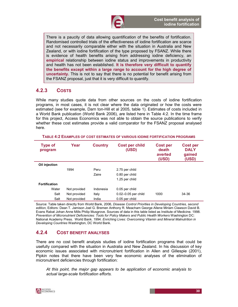

There is a paucity of data allowing quantification of the benefits of fortification. Randomised controlled trials of the effectiveness of iodine fortification are scarce and not necessarily comparable either with the situation in Australia and New Zealand, or with iodine fortification of the type proposed by FSANZ. While there is evidence of health benefits arising from addressing iodine deficiency, an empirical relationship between iodine status and improvements in productivity and health has not been established. It is therefore very difficult to quantify the benefits except within a large range to account for the high degree of uncertainty. This is not to say that there is no potential for benefit arising from the FSANZ proposal, just that it is very difficult to quantify.

### 4.2.3 COSTS

While many studies quote data from other sources on the costs of iodine fortification programs, in most cases, it is not clear where the data originated or how the costs were estimated (see for example, Darn ton-Hill et al 2005, table 1). Estimates of costs included in a World Bank publication (World Bank 2006), are listed here in Table 4:2. In the time frame for this project, Access Economics was not able to obtain the source publications to verify whether these cost estimates provide a valid comparator for the FSANZ proposal analysed here.

| <b>Type of</b><br>program | Year         | <b>Country</b> | <b>Cost per child</b><br>(USD) | <b>Cost per</b><br>death<br>averted<br>(USD) | <b>Cost per</b><br><b>DALY</b><br>gained<br>(USD) |
|---------------------------|--------------|----------------|--------------------------------|----------------------------------------------|---------------------------------------------------|
| Oil injection             |              |                |                                |                                              |                                                   |
|                           | 1994         | Peru           | 2.75 per child                 |                                              |                                                   |
|                           |              | Zaire          | 0.80 per child                 |                                              |                                                   |
|                           |              |                | 1.25 per child                 |                                              |                                                   |
| <b>Fortification</b>      |              |                |                                |                                              |                                                   |
| Water                     | Not provided | Indonesia      | 0.05 per child                 |                                              |                                                   |
| Salt                      | Not provided | Italy          | 0.02-0.05 per child            | 1000                                         | 34-36                                             |
| Salt                      | Not provided | India          | 0.05 per child                 |                                              |                                                   |

TABLE 4:2 EXAMPLES OF COST ESTIMATES OF VARIOUS IODINE FORTIFICATION PROGRAMS

Source: Table taken directly from World Bank, 2006, Disease Control Priorities in Developing Countries, second edition, Editors: Dean T. Jamison Joel G. Bremen Anthony R. Meacham George Allene Miriam Clawson David B. Evans Rabat Johan Anne Mills Philip Musgrove. Sources of data in this table listed as Institute of Medicine. 1998. Prevention of Micronutrient Deficiencies: Tools for Policy Makers and Public Health Workers Washington DC: National Academy Press. World Bank. 1994. Enriching Lives: Overcoming Vitamin and Mineral Malnutrition in Developing Countries Washington, DC World Bank.

### 4.2.4 COST BENEFIT ANALYSES

There are no cost benefit analysis studies of iodine fortification programs that could be usefully compared with the situation in Australia and New Zealand. In his discussion of key economic issues associated with micronutrient fortification in Allen and Gillespie (2001), Pipkin notes that there have been very few economic analyses of the elimination of micronutrient deficiencies through fortification:

At this point, the major gap appears to be application of economic analysis to actual large-scale fortification efforts.

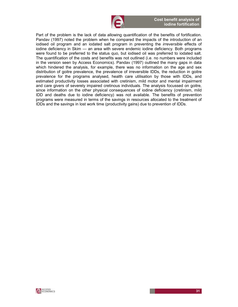

Part of the problem is the lack of data allowing quantification of the benefits of fortification. Pandav (1997) noted the problem when he compared the impacts of the introduction of an iodised oil program and an iodated salt program in preventing the *irreversible* effects of iodine deficiency in Skim — an area with severe endemic iodine deficiency. Both programs were found to be preferred to the status quo, but iodised oil was preferred to iodated salt. The quantification of the costs and benefits was not outlined (i.e. no numbers were included in the version seen by Access Economics). Pandav (1997) outlined the many gaps in data which hindered the analysis, for example, there was no information on the age and sex distribution of goitre prevalence, the prevalence of irreversible IDDs, the reduction in goitre prevalence for the programs analysed, health care utilisation by those with IDDs, and estimated productivity losses associated with cretinism, mild motor and mental impairment and care givers of severely impaired cretinous individuals. The analysis focussed on goitre, since information on the other physical consequences of iodine deficiency (cretinism, mild IDD and deaths due to iodine deficiency) was not available. The benefits of prevention programs were measured in terms of the savings in resources allocated to the treatment of IDDs and the savings in lost work time (productivity gains) due to prevention of IDDs.

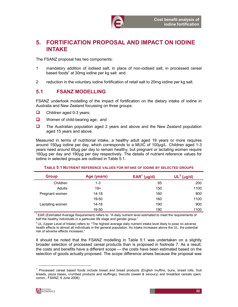

# 5. FORTIFICATION PROPOSAL AND IMPACT ON IODINE INTAKE

The FSANZ proposal has two components:

- 1 mandatory addition of iodised salt, in place of non-iodised salt, in processed cereal based foods<sup>7</sup> at 30mg iodine per kg salt and
- 2 reduction in the voluntary iodine fortification of retail salt to 20mg iodine per kg salt.

### 5.1 FSANZ MODELLING

FSANZ undertook modelling of the impact of fortification on the dietary intake of iodine in Australia and New Zealand focussing on three groups:

- $\Box$  Children aged 0-3 years;
- **Q** Women of child-bearing age; and
- The Australian population aged 2 years and above and the New Zealand population aged 15 years and above.

Measured in terms of nutritional intake, a healthy adult aged 19 years or more requires around 150µg iodine per day, which corresponds to a MUIC of 100µg/L. Children aged 1-3 years need around 65µg per day to remain healthy, but pregnant or lactating women require 160µg per day and 190µg per day respectively. The details of nutrient reference values for iodine in selected groups are outlined in Table 5:1.

| <b>Group</b>    | Age (years) | $\mathsf{EAR}^1$ (µg/d) | $UL^2$ (µg/d) |
|-----------------|-------------|-------------------------|---------------|
| Children        | $1 - 3$     | 65                      | 200           |
| Adults          | $19+$       | 150                     | 1100          |
| Pregnant women  | $14 - 18$   | 160                     | 900           |
|                 | 19-50       | 160                     | 1100          |
| Lactating women | $14 - 18$   | 190                     | 900           |
|                 | 19-50       | 190                     | 1100          |

#### TABLE 5:1 NUTRIENT REFERENCE VALUES FOR INTAKE OF IODINE BY SELECTED GROUPS

 $1$  EAR (Estimated Average Requirement) refers to: "A daily nutrient level estimated to meet the requirements of half the healthy individuals in a particular life stage and gender group."

 $2$ UL (Upper Level of Intake) refers to: "The highest average daily nutrient intake level likely to pose no adverse health effects to almost all individuals in the general population. As intake increases above the UL, the potential risk of adverse effects increases."

It should be noted that the FSANZ modelling in Table 5:1 was undertaken on a slightly broader selection of processed cereal products than is proposed in footnote 7. As a result, the costs and benefits have a different scope — the costs have been estimated based on the selection of goods actually proposed. The scope difference arises because the proposal was

<sup>&</sup>lt;sup>7</sup> Processed cereal based foods include bread and bread products (English muffins, buns, bread rolls, fruit breads, pizza bases, crumbed products and stuffings), biscuits (sweet & savoury) and breakfast cereals (pers. comm., FSANZ, 6 June 2006).



1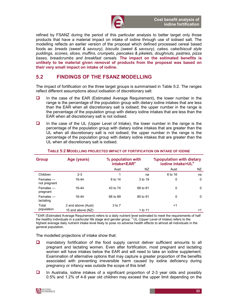

refined by FSANZ during the period of this particular analysis to better target only those products that have a material impact on intake of iodine through use of iodised salt. The modelling reflects an earlier version of the proposal which defined processed cereal based foods as: breads (sweet & savoury), biscuits (sweet & savoury), cakes, cake/biscuit style puddings, scones, slices, muffins, crumpets, pancakes & pikelets, doughnuts, pastries, pizza bases, breadcrumbs and breakfast cereals. The impact on the estimated benefits is unlikely to be material given removal of products from the proposal was based on their very small impact on intake of iodine.

### 5.2 FINDINGS OF THE FSANZ MODELLING

The impact of fortification on the three target groups is summarised in Table 5:2. The ranges reflect different assumptions about iodisation of discretionary salt:

- $\Box$  In the case of the EAR (Estimated Average Requirement), the lower number in the range is the percentage of the population group with dietary iodine intakes that are less than the EAR when all discretionary salt is iodised; the upper number in the range is the percentage of the population group with dietary iodine intakes that are less than the EAR when all discretionary salt is not iodised.
- $\Box$  In the case of the UL (Upper Level of Intake), the lower number in the range is the percentage of the population group with dietary iodine intakes that are greater than the UL when all discretionary salt is not iodised; the upper number in the range is the percentage of the population group with dietary iodine intakes that are greater than the UL when all discretionary salt is iodised.

| <b>Group</b>                 | Age (years)        | % population with<br>intake <ear<sup>a</ear<sup> |          | <b>%population with dietary</b><br>iodine intake>UL <sup>b</sup> |     |
|------------------------------|--------------------|--------------------------------------------------|----------|------------------------------------------------------------------|-----|
|                              |                    | Aust                                             | ΝZ       | Aust                                                             | NZ. |
| Children                     | $2 - 3$            |                                                  | na       | 6 to 16                                                          | na  |
| $F$ emales —<br>not pregnant | 16-44              | 6 to 14                                          | 3 to 19  | 0                                                                | 0   |
| Females —<br>pregnant        | 16-44              | 43 to 74                                         | 68 to 81 | 0                                                                | 0   |
| Females —<br>lactating       | 16-44              | 68 to 89                                         | 85 to 91 | 0                                                                | 0   |
| Total<br>population          | 2 and above (Aust) | 3 to 7                                           |          | <1                                                               |     |
|                              | 15 and above (NZ)  |                                                  | 1 to 11  |                                                                  | <1  |

#### TABLE 5:2 MODELLING PROJECTED IMPACT OF FORTIFICATION ON INTAKE OF IODINE

<sup>a</sup> EAR (Estimated Average Requirement) refers to a daily nutrient level estimated to meet the requirements of half the healthy individuals in a particular life stage and gender group. <sup>b</sup> UL (Upper Level of Intake) refers to the highest average daily nutrient intake level likely to pose no adverse health effects to almost all individuals in the general population.

The modelled projections of intake show that:

- **D** mandatory fortification of the food supply cannot deliver sufficient amounts to all pregnant and lactating women. Even after fortification, most pregnant and lactating women will have intakes below the EAR and will need to take an iodine supplement. Examination of alternative options that may capture a greater proportion of the benefits associated with preventing irreversible harm caused by iodine deficiency during pregnancy or infancy was outside the scope of this brief.
- $\Box$  In Australia, iodine intakes of a significant proportion of 2-3 year olds and possibly 0.5% and 1.2% of 4-8 year old children may exceed the upper limit depending on the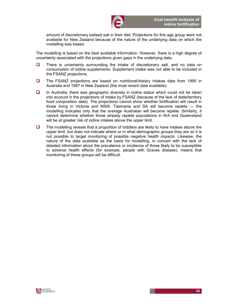

amount of discretionary iodised salt in their diet. Projections for this age group were not available for New Zealand because of the nature of the underlying data on which the modelling was based.

The modelling is based on the best available information. However, there is a high degree of uncertainty associated with the projections given gaps in the underlying data.

- $\Box$  There is uncertainty surrounding the intake of discretionary salt, and no data on consumption of iodine supplements. Supplement intake was not able to be included in the FSANZ projections.
- $\Box$  The FSANZ projections are based on nutritional/dietary intakes data from 1995 in Australia and 1997 in New Zealand (the most recent data available).
- $\Box$  In Australia, there was geographic diversity in iodine status which could not be taken into account in the projections of intake by FSANZ (because of the lack of state/territory food composition data). The projections cannot show whether fortification will result in those living in Victoria and NSW, Tasmania and SA will become replete — the modelling indicates only that the average Australian will become replete. Similarly, it cannot determine whether those already replete populations in WA and Queensland will be at greater risk of iodine intakes above the upper limit.
- $\Box$  The modelling reveals that a proportion of toddlers are likely to have intakes above the upper limit, but does not indicate where or in what demographic groups they are so it is not possible to target monitoring of possible negative health impacts. Likewise, the nature of the data available as the basis for modelling, in concert with the lack of detailed information about the prevalence or incidence of those likely to be susceptible to adverse health effects (for example, people with Graves disease), means that monitoring of these groups will be difficult.

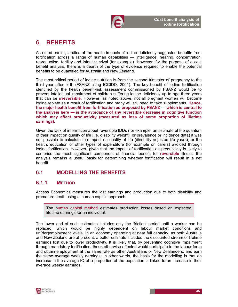

# 6. BENEFITS

As noted earlier, studies of the health impacts of iodine deficiency suggested benefits from fortification across a range of human capabilities — intelligence, hearing, concentration, reproduction, fertility and infant survival (for example). However, for the purpose of a cost benefit analysis, there is a dearth of the type of evidence required to enable the potential benefits to be quantified for Australia and New Zealand.

The most critical period of iodine nutrition is from the second trimester of pregnancy to the third year after birth (FSANZ citing ICCIDD, 2001). The key benefit of iodine fortification identified by the health benefit-risk assessment commissioned by FSANZ would be to prevent intellectual impairment of children suffering iodine deficiency up to age three years that can be irreversible. However, as noted above, not all pregnant women will become iodine replete as a result of fortification and many will still need to take supplements. Hence, the major health benefit from fortification as proposed by FSANZ — which is central to the analysis here — is the avoidance of any reversible decrease in cognitive function which may affect productivity (measured as loss of some proportion of lifetime earnings).

Given the lack of information about reversible IDDs (for example, an estimate of the quantum of their impact on quality of life [i.e. disability weight], or prevalence or incidence data) it was not possible to calculate the impact on quality of life (disability adjusted life years), or the health, education or other types of expenditure (for example on carers) avoided through iodine fortification. However, given that the impact of fortification on productivity is likely to comprise the most significant component of financial benefit for reversible illness, the analysis remains a useful basis for determining whether fortification will result in a net benefit.

## 6.1 MODELLING THE BENEFITS

## 6.1.1 METHOD

Access Economics measures the lost earnings and production due to both disability and premature death using a 'human capital' approach.

The human capital method estimates production losses based on expected lifetime earnings for an individual.

The lower end of such estimates includes only the 'friction' period until a worker can be replaced, which would be highly dependent on labour market conditions and un(der)employment levels. In an economy operating at near full capacity, as both Australia and New Zealand are at present, a better estimate includes the discounted stream of lifetime earnings lost due to lower productivity. It is likely that, by preventing cognitive impairment through mandatory fortification, those otherwise affected would participate in the labour force and obtain employment at the same rate as other Australians or New Zealanders, and earn the same average weekly earnings. In other words, the basis for the modelling is that an increase in the average IQ of a proportion of the population is linked to an increase in their average weekly earnings.

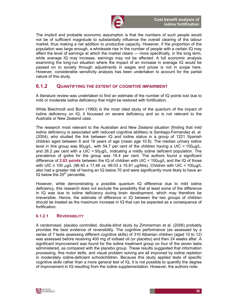

The implicit and probable economic assumption is that the numbers of such people would not be of sufficient magnitude to substantially influence the overall clearing of the labour market, thus making a net addition to productive capacity. However, if the proportion of the population was large enough, a wholesale rise in the number of people with a certain IQ may affect the level of earnings at which the market clears — more specifically, in the long term, while average IQ may increase, earnings may not be affected. A full economic analysis examining the long-run situation where the impact of an increase in average IQ would be passed on to society through adjustments in wages and prices is not in scope here. However, considerable sensitivity analysis has been undertaken to account for the partial nature of this study.

## 6.1.2 QUANTIFYING THE EXTENT OF COGNITIVE IMPAIRMENT

A literature review was undertaken to find an estimate of the number of IQ points lost due to mild or moderate iodine deficiency that might be restored with fortification.

While Bleichrodt and Born (1993) is the most cited study of the quantum of the impact of iodine deficiency on IQ, it focussed on severe deficiency and so is not relevant to the Australia or New Zealand case.

The research most relevant to the Australian and New Zealand situation (finding that mild iodine deficiency is associated with reduced cognitive abilities) is Santiago-Fernandez et. al. (2004), who studied the link between IQ and iodine status in a group of 1221 Spanish children aged between 6 and 16 years of age (mean age 10.8). The median urinary iodine level in this group was  $90\mu g/L$ , with 54.7 per cent of the children having a UIC <  $100\mu g/L$ , and 26.2 per cent with a UIC  $<$  50 $\mu$ g/L, indicating a mildly iodine deficient population. The prevalence of goitre for the group was 19.4 per cent. The authors found a significant difference of 2.63 points between the IQ of children with UIC < 100µg/L and the IQ of those with UIC ≥ 100 µg/L (96.40 ± 17.46 vs. 99.03 ± 15.81 µg/litre). Children with UIC < 100µg/L also had a greater risk of having an IQ below 70 and were significantly more likely to have an IQ below the  $25<sup>th</sup>$  percentile.

However, while demonstrating a possible quantum IQ difference due to mild iodine deficiency, this research does not exclude the possibility that at least some of the difference in IQ was due to iodine deficiency during brain development, which may therefore be irreversible. Hence, the estimate of difference in IQ between the two groups of children should be treated as the maximum increase in IQ that can be expected as a consequence of fortification.

### 6.1.2.1 REVERSIBILITY

A randomised, placebo controlled, double-blind study by Zimmerman et al. (2006) probably provides the best evidence of reversibility. The cognitive performance (as assessed by a series of 7 tests assessing different cognitive skills) of 310 Albanian children (aged 10 to 12) was assessed before receiving 400 mg of iodised oil (or placebo) and then 24 weeks after. A significant improvement was found for the iodine treatment group on four of the seven tests administered, as compared with the placebo group. These results suggested that information processing, fine motor skills, and visual problem solving are all improved by iodine repletion in moderately iodine-deficient schoolchildren. Because this study applied tests of specific cognitive skills rather than a more general test of IQ, it is not possible to quantify the degree of improvement in IQ resulting from the iodine supplementation. However, the authors note:

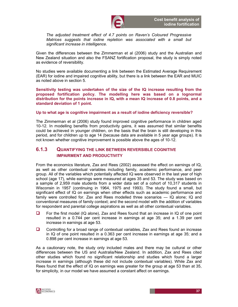

The adjusted treatment effect of 4.7 points on Raven's Coloured Progressive Matrices suggests that iodine repletion was associated with a small but significant increase in intelligence.

Given the differences between the Zimmerman et al (2006) study and the Australian and New Zealand situation and also the FSANZ fortification proposal, the study is simply noted as evidence of reversibility.

No studies were available documenting a link between the Estimated Average Requirement (EAR) for iodine and impaired cognitive ability, but there is a link between the EAR and MUIC as noted above in section 5.

Sensitivity testing was undertaken of the size of the IQ increase resulting from the proposed fortification policy. The modelling here was based on a lognormal distribution for the points increase in IQ, with a mean IQ increase of 0.8 points, and a standard deviation of 1 point.

#### Up to what age is cognitive impairment as a result of iodine deficiency reversible?

The Zimmerman et al (2006) study found improved cognitive performance in children aged 10-12. In modelling benefits from productivity gains, it was assumed that similar benefits could be achieved in younger children, on the basis that the brain is still developing in this period, and for children up to age 14 (because data are available in 5 year age groups). It is not known whether cognitive improvement is possible above the ages of 10-12.

### 6.1.3 QUANTIFYING THE LINK BETWEEN REVERSIBLE COGNITIVE IMPAIRMENT AND PRODUCTIVITY

From the economics literature, Zax and Rees (2002) assessed the effect on earnings of IQ, as well as other contextual variables including family, academic performance, and peer group. All of the variables which potentially affected IQ were observed in the last year of high school (age 17), while earnings were measured at ages 35 and 53. The study was based on a sample of 2,959 male students from a wider data set of a cohort of 10,317 students in Wisconsin in 1957 (continuing in 1964, 1975 and 1993). The study found a small, but significant effect of IQ on earnings when other effects such as academic performance and family were controlled for. Zax and Rees modelled three scenarios — IQ alone; IQ and conventional measures of family context; and the second model with the addition of variables for respondent and parental college aspirations as well as all other contextual variables.

- $\Box$  For the first model (IQ alone), Zax and Rees found that an increase in IQ of one point resulted in a 0.744 per cent increase in earnings at age 35; and a 1.39 per cent increase in earnings at age 53.
- $\Box$  Controlling for a broad range of contextual variables, Zax and Rees found an increase in IQ of one point resulted in a 0.363 per cent increase in earnings at age 35; and a 0.898 per cent increase in earnings at age 53.

As a cautionary note, the study only included males and there may be cultural or other differences between the US and Australia/New Zealand. In addition, Zax and Rees cited other studies which found no significant relationship and studies which found a larger increase in earnings (although these did not include contextual variables). While Zax and Rees found that the effect of IQ on earnings was greater for the group at age 53 than at 35, for simplicity, in our model we have assumed a constant affect on earnings.

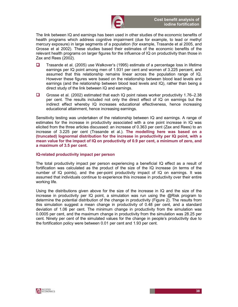

The link between IQ and earnings has been used in other studies of the economic benefits of health programs which address cognitive impairment (due for example, to lead or methyl mercury exposure) in large segments of a population (for example, Trasande et al 2005, and Grosse et al 2002). These studies based their estimates of the economic benefits of the relevant health programs on larger figures for the influence of IQ on productivity than those in Zax and Rees (2002).

- Trasande et al. (2005) use Walkover's (1995) estimate of a percentage loss in lifetime earnings per IQ point among men of 1.931 per cent and women of 3.225 percent, and assumed that this relationship remains linear across the population range of IQ. However these figures were based on the relationship between blood lead levels and earnings (and the relationship between blood lead levels and IQ), rather than being a direct study of the link between IQ and earnings.
- Grosse et al. (2002) estimated that each IQ point raises worker productivity 1.76–2.38 per cent. The results included not only the direct effect of IQ on earnings but the indirect effect whereby IQ increases educational effectiveness, hence increasing educational attainment, hence increasing earnings.

Sensitivity testing was undertaken of the relationship between IQ and earnings. A range of estimates for the increase in productivity associated with a one point increase in IQ was elicited from the three articles discussed: an increase of 0.363 per cent (Zax and Rees) to an increase of 3.225 per cent (Trasande et al.). The modelling here was based on a (truncated) lognormal distribution for the increase in productivity per IQ point, with a mean value for the impact of IQ on productivity of 0.9 per cent, a minimum of zero, and a maximum of 3.5 per cent.

#### IQ-related productivity impact per person

The total productivity impact per person experiencing a beneficial IQ effect as a result of fortification was calculated as the product of the size of the IQ increase (in terms of the number of IQ points), and the per-point productivity impact of IQ on earnings. It was assumed that individuals continue to experience this increase in productivity over their entire working life.

Using the distributions given above for the size of the increase in IQ and the size of the increase in productivity per IQ point, a simulation was run using the @Risk program to determine the potential distribution of the change in productivity (Figure 2). The results from this simulation suggest a mean change in productivity of 0.48 per cent, and a standard deviation of 1.06 per cent. The minimum change in productivity from the simulation was 0.0005 per cent, and the maximum change in productivity from the simulation was 28.25 per cent. Ninety per cent of the simulated values for the change in people's productivity due to the fortification policy were between 0.01 per cent and 1.93 per cent.

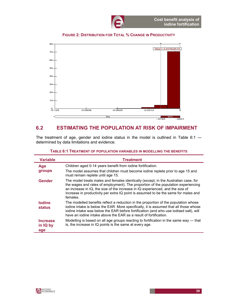



## 6.2 ESTIMATING THE POPULATION AT RISK OF IMPAIRMENT

The treatment of age, gender and iodine status in the model is outlined in Table 6:1 determined by data limitations and evidence.

| <b>Variable</b>                    | <b>Treatment</b>                                                                                                                                                                                                                                                                                                                                              |
|------------------------------------|---------------------------------------------------------------------------------------------------------------------------------------------------------------------------------------------------------------------------------------------------------------------------------------------------------------------------------------------------------------|
| Age                                | Children aged 0-14 years benefit from iodine fortification.                                                                                                                                                                                                                                                                                                   |
| groups                             | The model assumes that children must become iodine replete prior to age 15 and<br>must remain replete until age 15.                                                                                                                                                                                                                                           |
| <b>Gender</b>                      | The model treats males and females identically (except, in the Australian case, for<br>the wages and rates of employment). The proportion of the population experiencing<br>an increase in IQ, the size of the increase in IQ experienced, and the size of<br>increase in productivity per extra IQ point is assumed to be the same for males and<br>females. |
| <b>lodine</b><br><b>status</b>     | The modelled benefits reflect a reduction in the proportion of the population whose<br>iodine intake is below the EAR. More specifically, it is assumed that all those whose<br>iodine intake was below the EAR before fortification (and who use iodised salt), will<br>have an iodine intake above the EAR as a result of fortification.                    |
| <b>Increase</b><br>in IQ by<br>age | Modelling is based on all age groups reacting to fortification in the same way — that<br>is, the increase in IQ points is the same at every age.                                                                                                                                                                                                              |

#### TABLE 6:1 TREATMENT OF POPULATION VARIABLES IN MODELLING THE BENEFITS

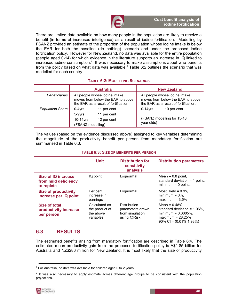

There are limited data available on how many people in the population are likely to receive a benefit (in terms of increased intelligence) as a result of iodine fortification. Modelling by FSANZ provided an estimate of the proportion of the population whose iodine intake is below the EAR for both the baseline (do nothing) scenario and under the proposed iodine fortification policy. However for New Zealand, no data was available for the entire population (people aged 0-14) for which evidence in the literature supports an increase in IQ linked to increased iodine consumption.<sup>8</sup> It was necessary to make assumptions about who benefits from the policy based on what data was available.<sup>9</sup> Table 6:2 outlines the scenario that was modelled for each country.

#### TABLE 6:2: MODELLING SCENARIOS

|                         |                                            | <b>Australia</b>                                                                                             |                                                                                                              | <b>New Zealand</b>          |  |
|-------------------------|--------------------------------------------|--------------------------------------------------------------------------------------------------------------|--------------------------------------------------------------------------------------------------------------|-----------------------------|--|
| <b>Beneficiaries</b>    |                                            | All people whose iodine intake<br>moves from below the EAR to above<br>the EAR as a result of fortification. | All people whose iodine intake<br>moves from below the EAR to above<br>the EAR as a result of fortification. |                             |  |
| <b>Population Share</b> | $0-4$ yrs<br>11 per cent                   |                                                                                                              | $0-14$ vrs                                                                                                   | 10 per cent                 |  |
|                         | 5-9yrs<br>$10-14$ yrs<br>(FSANZ modelling) | 11 per cent<br>12 per cent                                                                                   | year olds)                                                                                                   | (FSANZ modelling for 15-18) |  |

The values (based on the evidence discussed above) assigned to key variables determining the magnitude of the productivity benefit per person from mandatory fortification are summarised in Table 6:3.

#### TABLE 6:3: SIZE OF BENEFITS PER PERSON

|                                                           | Unit                                                      | <b>Distribution for</b><br>sensitivity<br>analysis                  | <b>Distribution parameters</b>                                                                                                       |
|-----------------------------------------------------------|-----------------------------------------------------------|---------------------------------------------------------------------|--------------------------------------------------------------------------------------------------------------------------------------|
| Size of IQ increase<br>from mild deficiency<br>to replete | IQ point                                                  | Lognormal                                                           | Mean = $0.8$ point,<br>standard deviation $=$ 1 point,<br>$minimum = 0$ points                                                       |
| <b>Size of productivity</b><br>increase per IQ point      | Per cent<br>increase in<br>earnings                       | Lognormal                                                           | Most likely = $0.9\%$<br>minimum = $0\%$ ,<br>maximum = $3.5\%$                                                                      |
| Size of total<br>productivity increase<br>per person      | Calculated as<br>the product of<br>the above<br>variables | Distribution<br>parameters drawn<br>from simulation<br>using @Risk. | Mean = $0.48%$ .<br>standard deviation = $1.06\%$ .<br>minimum = $0.0005%$ ,<br>maximum = $28.25%$<br>$90\%$ CI = $(0.01\%, 1.93\%)$ |

## 6.3 RESULTS

The estimated benefits arising from mandatory fortification are described in Table 6:4. The estimated mean productivity gain from the proposed fortification policy is A\$1.85 billion for Australia and NZ\$286 million for New Zealand. It is most likely that the size of productivity

 $8$  For Australia, no data was available for children aged 0 to 2 years.

<sup>&</sup>lt;sup>9</sup> It was also necessary to apply estimate across different age groups to be consistent with the population projections.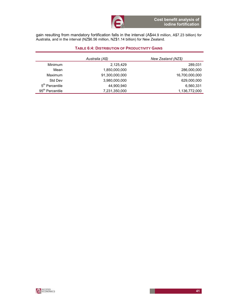gain resulting from mandatory fortification falls in the interval (A\$44.9 million, A\$7.23 billion) for Australia, and in the interval (NZ\$6.56 million, NZ\$1.14 billion) for New Zealand.

#### TABLE 6:4: DISTRIBUTION OF PRODUCTIVITY GAINS

|                             | Australia (A\$) | New Zealand (NZ\$) |
|-----------------------------|-----------------|--------------------|
| Minimum                     | 2,125,429       | 289,031            |
| Mean                        | 1,850,000,000   | 286,000,000        |
| Maximum                     | 91,300,000,000  | 16,700,000,000     |
| Std Dev                     | 3,980,000,000   | 629,000,000        |
| 5 <sup>th</sup> Percentile  | 44.900.940      | 6,560,331          |
| 95 <sup>th</sup> Percentile | 7,231,350,000   | 1,136,772,000      |

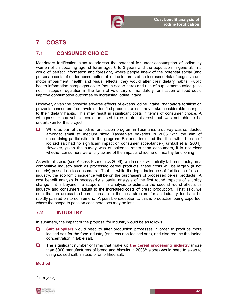

# 7. COSTS

# 7.1 CONSUMER CHOICE

Mandatory fortification aims to address the potential for under-consumption of iodine by women of childbearing age, children aged 0 to 3 years and the population in general. In a world of perfect information and foresight, where people knew of the potential social (and personal) costs of under-consumption of iodine in terms of an increased risk of cognitive and motor impairment, health and visual effects, they would alter their dietary habits. Public health information campaigns aside (not in scope here) and use of supplements aside (also not in scope), regulation in the form of voluntary or mandatory fortification of food could improve consumption outcomes by increasing iodine intake.

However, given the possible adverse effects of excess iodine intake, mandatory fortification prevents consumers from avoiding fortified products unless they make considerable changes to their dietary habits. This may result in significant costs in terms of consumer choice. A willingness-to-pay vehicle could be used to estimate this cost, but was not able to be undertaken for this project.

 $\Box$  While as part of the iodine fortification program in Tasmania, a survey was conducted amongst small to medium sized Tasmanian bakeries in 2003 with the aim of determining participation in the program. Bakeries indicated that the switch to use of iodized salt had no significant impact on consumer acceptance (Turnbull et al, 2004). However, given the survey was of bakeries rather than consumers, it is not clear whether consumers were fully aware of the impacts of iodine on healthy functioning.

As with folic acid (see Access Economics 2006), while costs will initially fall on industry, in a competitive industry such as processed cereal products, these costs will be largely (if not entirely) passed on to consumers. That is, while the legal incidence of fortification falls on industry, the economic incidence will be on the purchasers of processed cereal products. A cost benefit analysis is necessarily a partial analysis of the first round impacts of a policy change – it is beyond the scope of this analysis to estimate the second round effects as industry and consumers adjust to the increased costs of bread production. That said, we note that an across-the-board increase in the cost structure for an industry tends to be rapidly passed on to consumers. A possible exception to this is production being exported, where the scope to pass on cost increases may be less.

# 7.2 INDUSTRY

In summary, the impact of the proposal for industry would be as follows:

- $\Box$  Salt suppliers would need to alter production processes in order to produce more iodised salt for the food industry (and less non-iodised salt), and also reduce the iodine concentration in table salt.
- $\Box$  The significant number of firms that make up the cereal processing industry (more than 8000 manufacturers of bread and biscuits in 2003 $<sup>10</sup>$  alone) would need to swap to</sup> using iodised salt, instead of unfortified salt.

### Method

 $10$  BRI (2003).

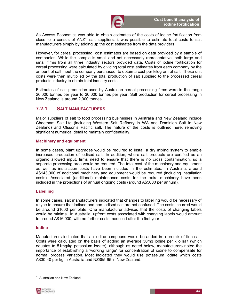

As Access Economics was able to obtain estimates of the costs of iodine fortification from close to a census of  $ANZ<sup>11</sup>$  salt suppliers, it was possible to estimate total costs to salt manufacturers simply by adding up the cost estimates from the data providers.

However, for cereal processing, cost estimates are based on data provided by a sample of companies. While the sample is small and not necessarily representative, both large and small firms from all three industry sectors provided data. Costs of iodine fortification for cereal processing were calculated by dividing total cost estimates from each company by the amount of salt input the company purchased, to obtain a cost per kilogram of salt. These unit costs were then multiplied by the total production of salt supplied to the processed cereal products industry to obtain total industry costs.

Estimates of salt production used by Australian cereal processing firms were in the range 20,000 tonnes per year to 30,000 tonnes per year. Salt production for cereal processing in New Zealand is around 2,900 tonnes.

### 7.2.1 SALT MANUFACTURERS

Major suppliers of salt to food processing businesses in Australia and New Zealand include Cheetham Salt Ltd (including Western Salt Refinery in WA and Dominion Salt in New Zealand) and Olsson's Pacific salt. The nature of the costs is outlined here, removing significant numerical detail to maintain confidentiality.

#### Machinery and equipment

In some cases, plant upgrades would be required to install a dry mixing system to enable increased production of iodised salt. In addition, where salt products are certified as an organic allowed input, firms need to ensure that there is no cross contamination, so a separate processing area would be required. The total cost of the machinery and equipment as well as installation costs have been included in the estimates. In Australia, around A\$143,000 of additional machinery and equipment would be required (including installation costs). Associated (additional) maintenance costs for the extra machinery have been included in the projections of annual ongoing costs (around A\$5000 per annum).

#### Labelling

In some cases, salt manufacturers indicated that changes to labelling would be necessary of a type to ensure that iodised and non-iodised salt are not confused. The costs incurred would be around \$1000 per plate. One manufacturer advised that the costs of changing labels would be minimal. In Australia, upfront costs associated with changing labels would amount to around A\$16,000, with no further costs modelled after the first year.

#### Iodine

Manufacturers indicated that an iodine compound would be added in a premix of fine salt. Costs were calculated on the basis of adding an average 30mg iodine per kilo salt (which equates to 51mg/kg potassium iodate), although as noted below, manufacturers noted the importance of establishing a 'working range' for concentration of iodine to compensate for normal process variation. Most indicated they would use potassium iodate which costs A\$30-40 per kg in Australia and NZ\$55-65 in New Zealand.

<sup>&</sup>lt;sup>11</sup> Australian and New Zealand.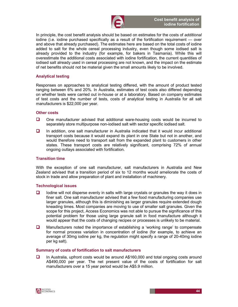

In principle, the cost benefit analysis should be based on estimates for the costs of additional iodine (i.e. iodine purchased specifically as a result of the fortification requirement — over and above that already purchased). The estimates here are based on the total costs of iodine added to salt for the whole cereal processing industry, even though some iodised salt is already provided to the industry (for example, for bakers in Tasmania). While this will overestimate the additional costs associated with iodine fortification, the current quantities of iodised salt already used in cereal processing are not known, and the impact on the estimate of net benefits should not be material given the small amounts likely to be involved.

#### Analytical testing

Responses on approaches to analytical testing differed, with the amount of product tested ranging between 6% and 20%. In Australia, estimates of test costs also differed depending on whether tests were carried out in-house or at a laboratory. Based on company estimates of test costs and the number of tests, costs of analytical testing in Australia for all salt manufacturers is \$22,000 per year.

#### Other costs

- $\Box$  One manufacturer advised that additional ware-housing costs would be incurred to separately store multipurpose non-iodised salt with sector specific iodised salt.
- $\Box$  In addition, one salt manufacturer in Australia indicated that it would incur additional transport costs because it would expand its plant in one State but not in another, and would therefore need to transport salt from the expanded plant to customers in other states. These transport costs are relatively significant, comprising 72% of annual ongoing outlays associated with fortification.

#### Transition time

With the exception of one salt manufacturer, salt manufacturers in Australia and New Zealand advised that a transition period of six to 12 months would ameliorate the costs of stock in trade and allow preparation of plant and installation of machinery.

#### Technological issues

- $\Box$  Iodine will not disperse evenly in salts with large crystals or granules the way it does in finer salt. One salt manufacturer advised that a few food manufacturing companies use larger granules, although this is diminishing as larger granules require extended dough kneading times. Most companies are moving to use of smaller salt granules. Given the scope for this project, Access Economics was not able to pursue the significance of this potential problem for those using large granule salt in food manufacture although it would appear that the costs of changing recipes or processes is unlikely to be material.
- $\Box$  Manufacturers noted the importance of establishing a 'working range' to compensate for normal process variation in concentration of iodine (for example, to achieve an average of 30mg iodine per kg, the regulation might specify a range of 20-40mg iodine per kg salt).

#### Summary of costs of fortification to salt manufacturers

 In Australia, upfront costs would be around A\$160,000 and total ongoing costs around A\$490,000 per year. The net present value of the costs of fortification for salt manufacturers over a 15 year period would be A\$5.9 million.

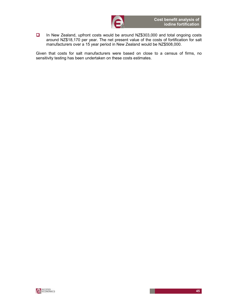

 In New Zealand, upfront costs would be around NZ\$303,000 and total ongoing costs around NZ\$18,170 per year. The net present value of the costs of fortification for salt manufacturers over a 15 year period in New Zealand would be NZ\$508,000.

Given that costs for salt manufacturers were based on close to a census of firms, no sensitivity testing has been undertaken on these costs estimates.

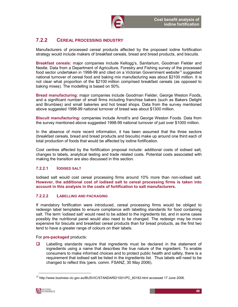

## 7.2.2 CEREAL PROCESSING INDUSTRY

Manufacturers of processed cereal products affected by the proposed iodine fortification strategy would include makers of breakfast cereals, bread and bread products, and biscuits.

Breakfast cereals: major companies include Kellogg's, Sanitarium, Goodman Fielder and Nestle. Data from a Department of Agriculture, Forestry and Fishing survey of the processed food sector undertaken in 1998-99 and cited on a Victorian Government website<sup>12</sup> suggested national turnover of cereal food and baking mix manufacturing was about \$2100 million. It is not clear what proportion of the \$2100 million comprised breakfast cereals (as opposed to baking mixes). The modelling is based on 50%.

Bread manufacturing: major companies include Goodman Fielder, George Weston Foods, and a significant number of small firms including franchise bakers (such as Bakers Delight and Brumbies) and small bakeries and hot bread shops. Data from the survey mentioned above suggested 1998-99 national turnover of bread was about \$1300 million.

Biscuit manufacturing: companies include Arnott's and George Weston Foods. Data from the survey mentioned above suggested 1998-99 national turnover of just over \$1000 million.

In the absence of more recent information, it has been assumed that the three sectors (breakfast cereals, bread and bread products and biscuits) make up around one third each of total production of foods that would be affected by iodine fortification.

Cost centres affected by the fortification proposal include: additional costs of iodised salt, changes to labels, analytical testing and trade related costs. Potential costs associated with making the transition are also discussed in this section.

### 7.2.2.1 IODISED SALT

Iodised salt would cost cereal processing firms around 10% more than non-iodised salt. However, the additional cost of iodised salt to cereal processing firms is taken into account in this analysis in the costs of fortification to salt manufacturers.

### 7.2.2.2 LABELLING AND PACKAGING

If mandatory fortification were introduced, cereal processing firms would be obliged to redesign label templates to ensure compliance with labelling standards for food containing salt. The term 'iodised salt' would need to be added to the ingredients list, and in some cases possibly the nutritional panel would also need to be changed. The redesign may be more expensive for biscuits and breakfast cereal products than for bread products, as the first two tend to have a greater range of colours on their labels.

#### For pre-packaged products:

**Q** Labelling standards require that ingredients must be declared in the statement of ingredients using a name that describes the true nature of the ingredient. To enable consumers to make informed choices and to protect public health and safety, there is a requirement that iodised salt be listed in the ingredients list. Thus labels will need to be changed to reflect this (pers. comm. FSANZ, 30 May 2006).

<sup>&</sup>lt;sup>12</sup> http://www.business.vic.gov.au/BUSVIC/STANDARD/1001/PC\_60183.html accessed 17 June 2006.

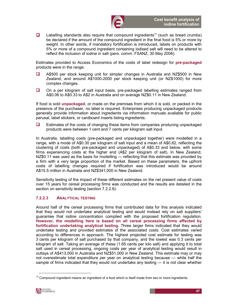

 $\Box$  Labelling standards also require that compound ingredients<sup>13</sup> (such as bread crumbs) be declared if the amount of the compound ingredient in the final food is 5% or more by weight. In other words, if mandatory fortification is introduced, labels on products with 5% or more of a compound ingredient containing iodised salt will need to be altered to reflect the inclusion of iodine in salt (pers. comm. FSANZ, 30 May 2006).

Estimates provided to Access Economics of the costs of label redesign for pre-packaged products were in the range:

- A\$500 per stock keeping unit for simpler changes in Australia and NZ\$500 in New Zealand, and around A\$1000-2000 per stock keeping unit (or NZ\$1000) for more complex changes.
- □ On a per kilogram of salt input basis, pre-packaged labelling estimates ranged from A\$0.06 to A\$0.33 to A\$2 in Australia and on average NZ\$0.11 in New Zealand.

If food is sold unpackaged, or made on the premises from which it is sold, or packed in the presence of the purchaser, no label is required. Enterprises producing unpackaged products generally provide information about ingredients via information manuals available for public perusal, label stickers, or cardboard inserts listing ingredients.

 $\Box$  Estimates of the costs of changing these items from companies producing unpackaged products were between 1 cent and 7 cents per kilogram salt input.

In Australia, labelling costs (pre-packaged and unpackaged together) were modelled in a range, with a mode of A\$0.30 per kilogram of salt input and a mean of A\$0.62, reflecting the clustering of costs (both pre-packaged and unpackaged) of A\$0.33 and below, with some firms experiencing costs at the higher end (A\$2 per kilogram of salt). In New Zealand, NZ\$0.11 was used as the basis for modelling — reflecting that this estimate was provided by a firm with a very large proportion of the market. Based on these parameters, the upfront costs of labelling changes required if fortification was introduced would be around A\$15.5 million in Australia and NZ\$341,000 in New Zealand.

Sensitivity testing of the impact of these different estimates on the net present value of costs over 15 years for cereal processing firms was conducted and the results are detailed in the section on sensitivity testing (section 7.2.2.6).

#### 7.2.2.3 ANALYTICAL TESTING

Around half of the cereal processing firms that contributed data for this analysis indicated that they would not undertake analytical testing and would instead rely on salt suppliers' guarantee that iodine concentration complied with the proposed fortification regulation. However, the modelling here is based on all cereal processing firms affected by fortification undertaking analytical testing. Three larger firms indicated that they would undertake testing and provided estimates of the associated costs. Cost estimates varied according to differences in approach. The highest projected cost estimate for testing was 3 cents per kilogram of salt purchased by that company, and the lowest was 0.3 cents per kilogram of salt. Taking an average of these (1.65 cents per kilo salt) and applying it to total salt used in cereal processing, ongoing costs per year of analytical testing would result in outlays of A\$413,000 in Australia and NZ\$51,000 in New Zealand. This estimate may or may not overestimate total expenditure per year on analytical testing because — while half the sample of firms indicated that they would not undertake any testing — it is not clear whether

 $13$  Compound ingredient means an ingredient of a food which is itself made from two or more ingredients.

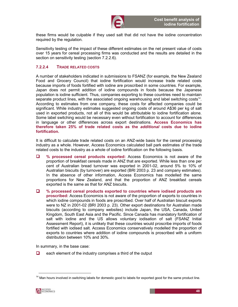

these firms would be culpable if they used salt that did not have the iodine concentration required by the regulation.

Sensitivity testing of the impact of these different estimates on the net present value of costs over 15 years for cereal processing firms was conducted and the results are detailed in the section on sensitivity testing (section 7.2.2.6).

### 7.2.2.4 TRADE RELATED COSTS

A number of stakeholders indicated in submissions to FSANZ (for example, the New Zealand Food and Grocery Council) that iodine fortification would increase trade related costs because imports of foods fortified with iodine are proscribed in some countries. For example, Japan does not permit addition of iodine compounds in foods because the Japanese population is iodine sufficient. Thus, companies exporting to these countries need to maintain separate product lines, with the associated ongoing warehousing and label switching costs<sup>14</sup>. According to estimates from one company, these costs for affected companies could be significant. While industry estimates suggested ongoing costs of around A\$36 per kg of salt used in exported products, not all of this would be attributable to iodine fortification alone. Some label switching would be necessary even without fortification to account for differences in language or other differences across export destinations. Access Economics has therefore taken 25% of trade related costs as the additional costs due to iodine fortification.

It is difficult to calculate trade related costs on an ANZ-wide basis for the cereal processing industry as a whole. However, Access Economics calculated ball park estimates of the trade related costs to the industry as a whole of iodine fortification on the following basis.

- □ % processed cereal products exported: Access Economics is not aware of the proportion of breakfast cereals made in ANZ that are exported. While less than one per cent of Australian bread turnover was exported in 2001-02, around 5% to 10% of Australian biscuits (by turnover) are exported (BRI 2003 p. 23 and company estimates). In the absence of other information, Access Economics has modelled the same proportions for New Zealand, and that the proportion of ANZ breakfast cereals exported is the same as that for ANZ biscuits.
- $\Box$  % processed cereal products exported to countries where iodised products are proscribed: Access Economics is not aware of the proportion of exports to countries in which iodine compounds in foods are proscribed. Over half of Australian biscuit exports were to NZ in 2001-02 (BRI 2003 p. 23). Other export destinations for Australian made biscuits (according to company websites) include Japan, the USA, Canada, United Kingdom, South East Asia and the Pacific. Since Canada has mandatory fortification of salt with iodine and the US allows voluntary iodisation of salt (FSANZ Initial Assessment Report), it is unlikely that these countries would proscribe imports of foods fortified with iodised salt. Access Economics conservatively modelled the proportion of exports to countries where addition of iodine compounds is proscribed with a uniform distribution between 10% and 30%.

In summary, in the base case:

 $\Box$  each element of the industry comprises a third of the output

 $14$  Man hours involved in switching labels for domestic good to labels for exported good for the same product line.

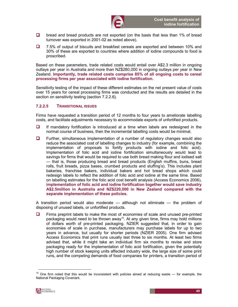

- $\Box$  bread and bread products are not exported (on the basis that less than 1% of bread turnover was exported in 2001-02 as noted above).
- □ 7.5% of output of biscuits and breakfast cereals are exported and between 10% and 30% of these are exported to countries where addition of iodine compounds to food is proscribed.

Based on these parameters, trade related costs would entail over A\$2.3 million in ongoing outlays per year in Australia and more than NZ\$280,000 in ongoing outlays per year in New Zealand. Importantly, trade related costs comprise 85% of all ongoing costs to cereal processing firms per year associated with iodine fortification.

Sensitivity testing of the impact of these different estimates on the net present value of costs over 15 years for cereal processing firms was conducted and the results are detailed in the section on sensitivity testing (section 7.2.2.6).

#### 7.2.2.5 TRANSITIONAL ISSUES

Firms have requested a transition period of 12 months to four years to ameliorate labelling costs, and facilitate adjustments necessary to accommodate exports of unfortified products.

- $\Box$  If mandatory fortification is introduced at a time when labels are redesigned in the normal course of business, then the incremental labelling costs would be minimal.
- $\Box$  Further, simultaneous implementation of a number of regulatory changes would also reduce the associated cost of labelling changes to industry (for example, combining the implementation of proposals to fortify products with iodine and folic acid). Implementation of folic acid and iodine fortification simultaneously would lead to savings for firms that would be required to use both bread making flour and iodised salt — that is, those producing bread and bread products (English muffins, buns, bread rolls, fruit breads, pizza bases, crumbed products and stuffing's). This includes plant bakeries, franchise bakers, individual bakers and hot bread shops which could redesign labels to reflect the addition of folic acid and iodine at the same time. Based on labelling estimates for the folic acid cost benefit analysis (Access Economics 2006), implementation of folic acid and iodine fortification together would save industry A\$2.5million in Australia and NZ\$220,000 in New Zealand compared with the separate implementation of these policies.

A transition period would also moderate — although not eliminate — the problem of disposing of unused labels, or unfortified products.

 $\Box$  Firms preprint labels to make the most of economies of scale and unused pre-printed packaging would need to be thrown away<sup>15</sup>. At any given time, firms may hold millions of dollars worth of pre-printed packaging. NZIER suggested that, in order to gain economies of scale in purchase, manufacturers may purchase labels for up to two years in advance, but usually for shorter periods (NZIER 2005). One firm advised Access Economics that print runs usually last three to six months. At least two firms advised that, while it might take an individual firm six months to revise and store packaging ready for the implementation of folic acid fortification, given the potentially high number of stock keeping units affected industry wide, the large size of some print runs, and the competing demands of food companies for printers, a transition period of

 $15$  One firm noted that this would be inconsistent with policies aimed at reducing waste  $-$  for example, the National Packaging Covenant.

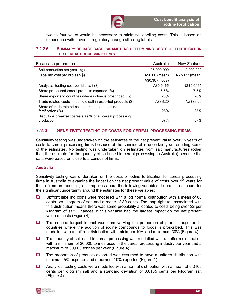

two to four years would be necessary to minimise labelling costs. This is based on experience with previous regulatory change affecting labels.

#### 7.2.2.6 SUMMARY OF BASE CASE PARAMETERS DETERMINING COSTS OF FORTIFICATION FOR CEREAL PROCESSING FIRMS

| Base case parameters                                                     | Australia      | New Zealand    |
|--------------------------------------------------------------------------|----------------|----------------|
| Salt production per year (kg)                                            | 25,000,000     | 2.900.000      |
| Labelling cost per kilo salt $(\$)$                                      | A\$0.60 (mean) | NZ\$0.11(mean) |
|                                                                          | A\$0.30 (mode) |                |
| Analytical testing cost per kilo salt (\$)                               | A\$0.0165      | NZ\$0.0165     |
| Share processed cereal products exported (%)                             | 7.5%           | 7.5%           |
| Share exports to countries where iodine is proscribed (%)                | <b>20%</b>     | 20%            |
| Trade related costs $-$ per kilo salt in exported products $(\$)$        | A\$36.20       | NZ\$36.20      |
| Share of trade related costs attributable to jodine<br>fortification (%) | 25%            | 25%            |
| Biscuits & breakfast cereals as % of all cereal processing<br>production | 67%            | 67%            |

### 7.2.3 SENSITIVITY TESTING OF COSTS FOR CEREAL PROCESSING FIRMS

Sensitivity testing was undertaken on the estimates of the net present value over 15 years of costs to cereal processing firms because of the considerable uncertainty surrounding some of the estimates. No testing was undertaken on estimates from salt manufacturers (other than the estimate for the quantity of salt used in cereal processing in Australia) because the data were based on close to a census of firms.

#### Australia

Sensitivity testing was undertaken on the costs of iodine fortification for cereal processing firms in Australia to examine the impact on the net present value of costs over 15 years for these firms on modelling assumptions about the following variables, in order to account for the significant uncertainty around the estimates for these variables:

- $\Box$  Upfront labelling costs were modelled with a log normal distribution with a mean of 60 cents per kilogram of salt and a mode of 30 cents. The long right tail associated with this distribution means there was some probability allocated to costs being over \$2 per kilogram of salt. Changes in this variable had the largest impact on the net present value of costs (Figure 4).
- $\Box$  The second largest impact was from varying the proportion of product exported to countries where the addition of iodine compounds to foods is proscribed. This was modelled with a uniform distribution with minimum 10% and maximum 30% (Figure 4).
- $\Box$  The quantity of salt used in cereal processing was modelled with a uniform distribution with a minimum of 20,000 tonnes used in the cereal processing industry per year and a maximum of 30,000 tonnes per year (Figure 4).
- $\Box$  The proportion of products exported was assumed to have a uniform distribution with minimum 5% exported and maximum 10% exported (Figure 4).
- $\Box$  Analytical testing costs were modelled with a normal distribution with a mean of 0.0165 cents per kilogram salt and a standard deviation of 0.0135 cents per kilogram salt (Figure 4).

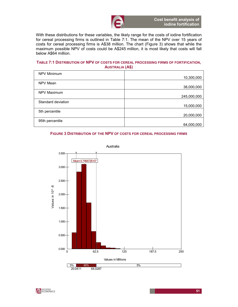

With these distributions for these variables, the likely range for the costs of iodine fortification for cereal processing firms is outlined in Table 7:1. The mean of the NPV over 15 years of costs for cereal processing firms is A\$38 million. The chart (Figure 3) shows that while the maximum possible NPV of costs could be A\$245 million, it is most likely that costs will fall below A\$64 million.

#### TABLE 7:1 DISTRIBUTION OF NPV OF COSTS FOR CEREAL PROCESSING FIRMS OF FORTIFICATION, AUSTRALIA (A\$)

| NPV Minimum        |             |
|--------------------|-------------|
|                    | 10,300,000  |
| NPV Mean           |             |
|                    | 38,000,000  |
| NPV Maximum        |             |
|                    | 245,000,000 |
| Standard deviation |             |
|                    | 15,000,000  |
| 5th percentile     |             |
|                    | 20,000,000  |
| 95th percentile    |             |
|                    | 64,000,000  |

#### FIGURE 3 DISTRIBUTION OF THE NPV OF COSTS FOR CEREAL PROCESSING FIRMS



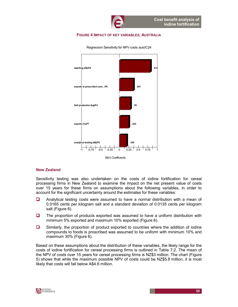#### FIGURE 4 IMPACT OF KEY VARIABLES, AUSTRALIA



Regression Sensitivity for NPV costs aust/C24

#### New Zealand

Sensitivity testing was also undertaken on the costs of iodine fortification for cereal processing firms in New Zealand to examine the impact on the net present value of costs over 15 years for these firms on assumptions about the following variables, in order to account for the significant uncertainty around the estimates for these variables:

- Analytical testing costs were assumed to have a normal distribution with a mean of 0.0165 cents per kilogram salt and a standard deviation of 0.0135 cents per kilogram salt (Figure 6).
- $\Box$  The proportion of products exported was assumed to have a uniform distribution with minimum 5% exported and maximum 10% exported (Figure 6).
- Similarly, the proportion of product exported to countries where the addition of iodine compounds to foods is proscribed was assumed to be uniform with minimum 10% and maximum 30% (Figure 6).

Based on these assumptions about the distribution of these variables, the likely range for the costs of iodine fortification for cereal processing firms is outlined in Table 7:2. The mean of the NPV of costs over 15 years for cereal processing firms is NZ\$3 million. The chart (Figure 5) shows that while the maximum possible NPV of costs could be NZ\$5.8 million, it is most likely that costs will fall below A\$4.6 million.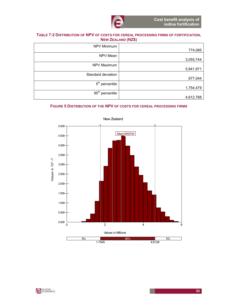

#### TABLE 7:2 DISTRIBUTION OF NPV OF COSTS FOR CEREAL PROCESSING FIRMS OF FORTIFICATION, NEW ZEALAND (NZ\$)

| NPV Minimum                 |           |
|-----------------------------|-----------|
|                             | 774,085   |
| NPV Mean                    |           |
|                             | 3,055,744 |
| NPV Maximum                 |           |
|                             | 5,841,971 |
| Standard deviation          |           |
|                             | 877,044   |
| 5 <sup>th</sup> percentile  |           |
|                             | 1,754,479 |
| 95 <sup>th</sup> percentile |           |
|                             | 4,612,788 |

#### FIGURE 5 DISTRIBUTION OF THE NPV OF COSTS FOR CEREAL PROCESSING FIRMS



New Zealand

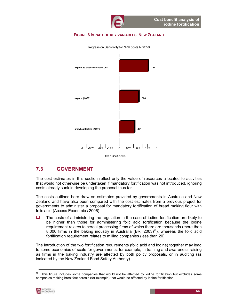#### FIGURE 6 IMPACT OF KEY VARIABLES, NEW ZEALAND



Regression Sensitivity for NPV costs NZ/C50

## 7.3 GOVERNMENT

The cost estimates in this section reflect only the value of resources allocated to activities that would not otherwise be undertaken if mandatory fortification was not introduced, ignoring costs already sunk in developing the proposal thus far.

The costs outlined here draw on estimates provided by governments in Australia and New Zealand and have also been compared with the cost estimates from a previous project for governments to administer a proposal for mandatory fortification of bread making flour with folic acid (Access Economics 2006).

 $\Box$  The costs of administering the regulation in the case of iodine fortification are likely to be higher than those for administering folic acid fortification because the iodine requirement relates to cereal processing firms of which there are thousands (more than 8,000 firms in the baking industry in Australia (BRI 2003)<sup>16</sup>), whereas the folic acid fortification requirement relates to milling companies (less than 20).

The introduction of the two fortification requirements (folic acid and iodine) together may lead to some economies of scale for governments, for example, in training and awareness raising as firms in the baking industry are affected by both policy proposals, or in auditing (as indicated by the New Zealand Food Safety Authority).

 $16$  This figure includes some companies that would not be affected by iodine fortification but excludes some companies making breakfast cereals (for example) that would be affected by iodine fortification.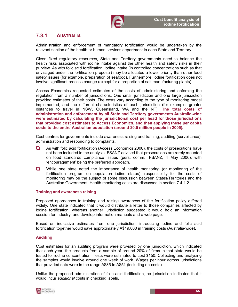

## 7.3.1 AUSTRALIA

Administration and enforcement of mandatory fortification would be undertaken by the relevant section of the health or human services department in each State and Territory.

Given fixed regulatory resources, State and Territory governments need to balance the health risks associated with iodine intake against the other health and safety risks in their purview. As with folic acid fortification, iodine intake (in controlled concentrations such as that envisaged under the fortification proposal) may be allocated a lower priority than other food safety issues (for example, preparation of seafood). Furthermore, iodine fortification does not involve significant process change (except for a proportion of salt manufacturing plants).

Access Economics requested estimates of the costs of administering and enforcing the regulation from a number of jurisdictions. One small jurisdiction and one large jurisdiction provided estimates of their costs. The costs vary according to the type of monitoring model implemented, and the different characteristics of each jurisdiction (for example, greater distances to travel in NSW, Queensland, WA and the NT). The total costs of administration and enforcement by all State and Territory governments Australia-wide were estimated by calculating the jurisdictional cost per head for those jurisdictions that provided cost estimates to Access Economics, and then applying these per capita costs to the entire Australian population (around 20.5 million people in 2005).

Cost centres for governments include awareness raising and training, auditing (surveillance), administration and responding to complaints.

- As with folic acid fortification (Access Economics 2006), the costs of prosecutions have not been included in the analysis. FSANZ advised that prosecutions are rarely mounted on food standards compliance issues (pers. comm., FSANZ, 4 May 2006), with 'encouragement' being the preferred approach.
- $\Box$  While one state noted the importance of health monitoring (or monitoring of the fortification program on population iodine status), responsibility for the costs of monitoring may be the subject of some discussion between States/Territories and the Australian Government. Health monitoring costs are discussed in section 7.4.1.2.

#### Training and awareness raising

Proposed approaches to training and raising awareness of the fortification policy differed widely. One state indicated that it would distribute a letter to those companies affected by iodine fortification, whereas another jurisdiction suggested it would hold an information session for industry, and develop information manuals and a web page.

Based on indicative estimates from one jurisdiction, introducing iodine and folic acid fortification together would save approximately A\$19,000 in training costs (Australia-wide).

#### Auditing

Cost estimates for an auditing program were provided by one jurisdiction, which indicated that each year, the products from a sample of around 20% of firms in that state would be tested for iodine concentration. Tests were estimated to cost \$150. Collecting and analysing the samples would involve around one week of work. Wages per hour across jurisdictions that provided data were in the range A\$35 to A\$51 (including on-costs).

Unlike the proposed administration of folic acid fortification, no jurisdiction indicated that it would incur additional costs in checking labels.

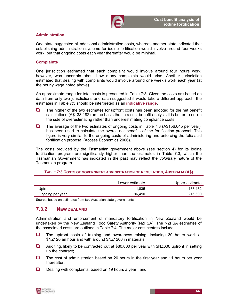

#### Administration

One state suggested nil additional administration costs, whereas another state indicated that establishing administration systems for iodine fortification would involve around four weeks work, but that ongoing costs each year thereafter would be minimal.

#### **Complaints**

One jurisdiction estimated that each complaint would involve around four hours work, however, was uncertain about how many complaints would arise. Another jurisdiction estimated that dealing with complaints would involve around one week's work each year (at the hourly wage noted above).

An approximate range for total costs is presented in Table 7:3. Given the costs are based on data from only two jurisdictions and each suggested it would take a different approach, the estimates in Table 7:3 should be interpreted as an indicative range.

- $\Box$  The higher of the two estimates for upfront costs has been adopted for the net benefit calculations (A\$138,182) on the basis that in a cost benefit analysis it is better to err on the side of overestimating rather than underestimating compliance costs.
- The average of the two estimates of ongoing costs in Table 7:3 (A\$156,045 per year), has been used to calculate the overall net benefits of the fortification proposal. This figure is very similar to the ongoing costs of administering and enforcing the folic acid fortification proposal (Access Economics 2006).

The costs provided by the Tasmanian government above (see section 4) for its iodine fortification program are significantly higher than the estimates in Table 7:3, which the Tasmanian Government has indicated in the past may reflect the voluntary nature of the Tasmanian program.

#### TABLE 7:3 COSTS OF GOVERNMENT ADMINISTRATION OF REGULATION, AUSTRALIA (A\$)

|                  | Lower estimate | Upper estimate |
|------------------|----------------|----------------|
| Upfront          | 1.835          | 138.182        |
| Ongoing per year | 96.490         | 215,600        |

Source: based on estimates from two Australian state governments.

### 7.3.2 NEW ZEALAND

Administration and enforcement of mandatory fortification in New Zealand would be undertaken by the New Zealand Food Safety Authority (NZFSA). The NZFSA estimates of the associated costs are outlined in Table 7:4. The major cost centres include:

- $\Box$  The upfront costs of training and awareness raising, including 30 hours work at \$NZ120 an hour and with around \$NZ1200 in materials;
- Auditing, likely to be contracted out at \$80,000 per year with \$NZ600 upfront in setting up the contract;
- $\Box$  The cost of administration based on 20 hours in the first year and 11 hours per year thereafter;
- $\Box$  Dealing with complaints, based on 19 hours a year; and

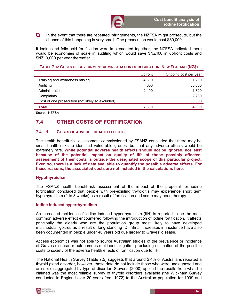$\Box$  In the event that there are repeated infringements, the NZFSA might prosecute, but the chance of this happening is very small. One prosecution would cost \$80,000.

If iodine and folic acid fortification were implemented together, the NZFSA indicated there would be economies of scale in auditing which would save \$NZ400 in upfront costs and \$NZ10,000 per year thereafter.

TABLE 7:4: COSTS OF GOVERNMENT ADMINISTRATION OF REGULATION, NEW ZEALAND (NZ\$)

|                                                  | Upfront | Ongoing cost per year |
|--------------------------------------------------|---------|-----------------------|
| Training and Awareness raising                   | 4,800   | 1,200                 |
| Auditing                                         | 600     | 80,000                |
| Administration                                   | 2.400   | 1,320                 |
| Complaints                                       |         | 2,280                 |
| Cost of one prosecution (not likely so excluded) |         | 80,000                |
| <b>Total</b>                                     | 7,800   | 84,800                |
|                                                  |         |                       |

Source: NZFSA

# 7.4 OTHER COSTS OF FORTIFICATION

### 7.4.1.1 COSTS OF ADVERSE HEALTH EFFECTS

The health benefit-risk assessment commissioned by FSANZ concluded that there may be small health risks to identified vulnerable groups, but that any adverse effects would be extremely rare. While potential adverse health effects should not be ignored, not least because of the potential impact on quality of life of those possibly affected, assessment of their costs is outside the designated scope of this particular project. Even so, there is a lack of data available to quantify the possible adverse effects. For these reasons, the associated costs are not included in the calculations here.

#### Hypothyroidism

The FSANZ health benefit-risk assessment of the impact of the proposal for iodine fortification concluded that people with pre-existing thyroiditis may experience short term hypothyroidism (2 to 3 weeks) as a result of fortification and some may need therapy.

#### Iodine induced hyperthyroidism

An increased incidence of iodine induced hyperthyroidism (IIH) is reported to be the most common adverse effect encountered following the introduction of iodine fortification. It affects principally the elderly who are the population group most likely to have developed multinodular goitres as a result of long-standing ID. Small increases in incidence have also been documented in people under 40 years old due largely to Graves' disease.

Access economics was not able to source Australian studies of the prevalence or incidence of Graves disease or autonomous multinodular goitre, precluding estimation of the possible costs to society of the adverse health effects of fortification due to IIH.

The National Health Survey (Table 7:5) suggests that around 2.4% of Australians reported a thyroid gland disorder, however, these data do not include those who were undiagnosed and are not disaggregated by type of disorder. Stevens (2000) applied the results from what he claimed was the most reliable survey of thyroid disorders available (the Wickham Survey conducted in England over 20 years from 1972) to the Australian population for 1999 and

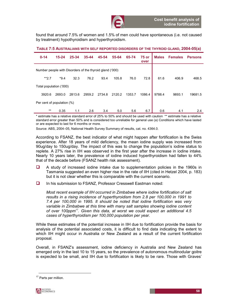found that around 7.5% of women and 1.5% of men could have spontaneous (i.e. not caused by treatment) hypothyroidism and hyperthyroidism.

| TABLE 7:5 AUSTRALIANS WITH SELF REPORTED DISORDERS OF THE THYROID GLAND, 2004-05(a) |  |  |
|-------------------------------------------------------------------------------------|--|--|
|-------------------------------------------------------------------------------------|--|--|

| $0 - 14$                                                 | $15 - 24$ | 25-34  | $35 - 44$ | 45-54  | 55-64  | 65-74  | 75 or<br>over | <b>Males</b> | <b>Females</b> | <b>Persons</b> |
|----------------------------------------------------------|-----------|--------|-----------|--------|--------|--------|---------------|--------------|----------------|----------------|
| Number people with Disorders of the thyroid gland ('000) |           |        |           |        |        |        |               |              |                |                |
| $**2.7$                                                  | $*9.4$    | 32.3   | 76.2      | 93.4   | 105.8  | 76.0   | 72.8          | 61.6         | 406.9          | 468.5          |
| Total population ('000)                                  |           |        |           |        |        |        |               |              |                |                |
| 3920.6                                                   | 2693.0    | 2813.6 | 2959.2    | 2734.8 | 2120.2 | 1353.7 | 1086.4        | 9788.4       | 9893.1         | 19681.5        |
| Per cent of population (%)                               |           |        |           |        |        |        |               |              |                |                |
| $***$                                                    | 0.35      | 1.1    | 2.6       | 3.4    | 5.0    | 5.6    | 6.7           | 0.6          | 4.1            | 2.4            |

\* estimate has a relative standard error of 25% to 50% and should be used with caution \*\* estimate has a relative standard error greater than 50% and is considered too unreliable for general use (a) Conditions which have lasted or are expected to last for 6 months or more.

Source: ABS, 2004–05, National Health Survey Summary of results, cat. no. 4364.0.

According to FSANZ, the best indicator of what might happen after fortification is the Swiss experience. After 18 years of mild deficiency, the mean iodine supply was increased from 90ug/day to 150ug/day. The impact of this was to change the population's iodine status to replete. A 27% rise in IIH was observed in the first year after the increase in iodine intake. Nearly 10 years later, the prevalence of iodine induced hyperthyroidism had fallen to 44% that of the decade before (FSANZ health risk assessment).

- $\Box$  A study of increased iodine intake due to supplementation policies in the 1960s in Tasmania suggested an even higher rise in the rate of IIH (cited in Hetzel 2004, p. 183) but it is not clear whether this is comparable with the current scenario.
- In his submission to FSANZ, Professor Cresswell Eastman noted:

Most recent example of IIH occurred in Zimbabwe where iodine fortification of salt results in a rising incidence of hyperthyroidism from 2.8 per 100,000 in 1991 to 7.4 per 100,000 in 1995. It should be noted that iodine fortification was very variable in Zimbabwe at this time with many salt samples showing iodine content of over 100ppm<sup>17</sup>. Given this data, at worst we could expect an additional 4.5 cases of hyperthyroidism per 100,000 population per year.

While these estimates of the potential increase in IIH due to fortification provide the basis for analysis of the potential associated costs, it is difficult to find data indicating the extent to which IIH might occur in Australia or New Zealand as a result of the current fortification proposal.

Overall, in FSANZ's assessment, iodine deficiency in Australia and New Zealand has emerged only in the last 10 to 15 years, so the prevalence of autonomous multinodular goitre is expected to be small, and IIH due to fortification is likely to be rare. Those with Graves'

<sup>&</sup>lt;sup>17</sup> Parts per million.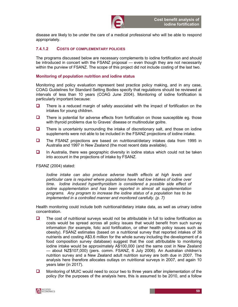

disease are likely to be under the care of a medical professional who will be able to respond appropriately.

#### 7.4.1.2 COSTS OF COMPLEMENTARY POLICIES

The programs discussed below are necessary complements to iodine fortification and should be introduced in concert with the FSANZ proposal — even though they are not necessarily within the purview of FSANZ. The scope of this project did not include costing of the last two.

#### Monitoring of population nutrition and iodine status

Monitoring and policy evaluation represent best practice policy making, and in any case, COAG Guidelines for Standard Setting Bodies specify that regulations should be reviewed at intervals of less than 10 years (COAG June 2004). Monitoring of iodine fortification is particularly important because:

- $\Box$  There is a reduced margin of safety associated with the impact of fortification on the intakes for young children.
- $\Box$  There is potential for adverse effects from fortification on those susceptible eg. those with thyroid problems due to Graves' disease or multinodular goitre.
- $\Box$  There is uncertainty surrounding the intake of discretionary salt, and those on iodine supplements were not able to be included in the FSANZ projections of iodine intake.
- The FSANZ projections are based on nutritional/dietary intakes data from 1995 in Australia and 1997 in New Zealand (the most recent data available).
- $\Box$  In Australia, there was geographic diversity in iodine status which could not be taken into account in the projections of intake by FSANZ.

FSANZ (2004) stated:

Iodine intake can also produce adverse health effects at high levels and particular care is required where populations have had low intakes of iodine over time. Iodine induced hyperthyroidism is considered a possible side effect of iodine supplementation and has been reported in almost all supplementation programs. Any program to increase the iodine status of a population has to be implemented in a controlled manner and monitored carefully. (p. 7)

Health monitoring could include both nutritional/dietary intake data, as well as urinary iodine concentration.

- $\Box$  The cost of nutritional surveys would not be attributable in full to iodine fortification as costs would be spread across all policy issues that would benefit from such survey information (for example, folic acid fortification, or other health policy issues such as obesity). FSANZ estimates (based on a nutritional survey that reported intakes of 36 nutrients and costing A\$3.6 million for the whole survey including the development of a food composition survey database) suggest that the cost attributable to monitoring iodine intake would be approximately A\$100,000 (and the same cost in New Zealand — about NZ\$107,000) (pers. comm. FSANZ, 6 July 2006). An Australian children's nutrition survey and a New Zealand adult nutrition survey are both due in 2007. The analysis here therefore allocates outlays on nutritional surveys in 2007, and again 10 years later (in 2017).
- **Monitoring of MUIC would need to occur two to three years after implementation of the** policy (for the purposes of the analysis here, this is assumed to be 2010, and a follow

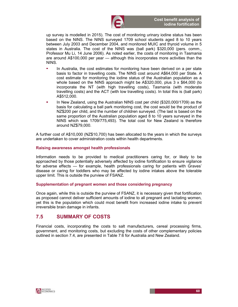

up survey is modelled in 2015). The cost of monitoring urinary iodine status has been based on the NINS. The NINS surveyed 1709 school students aged 8 to 10 years between July 2003 and December 2004, and monitored MUIC and thyroid volume in 5 states in Australia. The cost of the NINS was (ball park) \$320,000 (pers. comm., Professor Mu Li, 14 June 2006). As noted earlier, the costs of monitoring in Tasmania are around A\$100,000 per year — although this incorporates more activities than the NINS.

- In Australia, the cost estimates for monitoring have been derived on a per state basis to factor in travelling costs. The NINS cost around A\$64,000 per State. A cost estimate for monitoring the iodine status of the Australian population as a whole based on the NINS approach might be A\$320,000, plus 3 x \$64,000 (to incorporate the NT (with high travelling costs), Tasmania (with moderate travelling costs) and the ACT (with low travelling costs). In total this is (ball park) A\$512,000.
- In New Zealand, using the Australian NINS cost per child (\$320,000/1709) as the basis for calculating a ball park monitoring cost, the cost would be the product of NZ\$200 per child, and the number of children surveyed. (The last is based on the same proportion of the Australian population aged 8 to 10 years surveyed in the NINS which was 1709/775,493). The total cost for New Zealand is therefore around NZ\$79,000.

A further cost of A\$10,000 (NZ\$10,700) has been allocated to the years in which the surveys are undertaken to cover administration costs within health departments.

#### Raising awareness amongst health professionals

Information needs to be provided to medical practitioners caring for, or likely to be approached by those potentially adversely affected by iodine fortification to ensure vigilance for adverse effects — for example, health professionals caring for patients with Graves' disease or caring for toddlers who may be affected by iodine intakes above the tolerable upper limit. This is outside the purview of FSANZ.

#### Supplementation of pregnant women and those considering pregnancy

Once again, while this is outside the purview of FSANZ, it is necessary given that fortification as proposed cannot deliver sufficient amounts of iodine to all pregnant and lactating women, yet this is the population which could most benefit from increased iodine intake to prevent irreversible brain damage in infants.

## 7.5 SUMMARY OF COSTS

Financial costs, incorporating the costs to salt manufacturers, cereal processing firms, government, and monitoring costs, but excluding the costs of other complementary policies outlined in section 7.4, are presented in Table 7:6 for Australia and New Zealand.

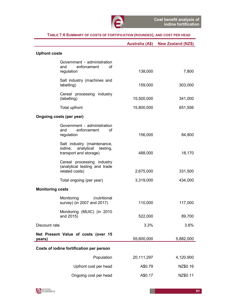|                                                                                         |            | Australia (A\$) New Zealand (NZ\$) |
|-----------------------------------------------------------------------------------------|------------|------------------------------------|
| <b>Upfront costs</b>                                                                    |            |                                    |
| Government - administration<br>enforcement<br>and<br>οf<br>regulation                   | 138,000    | 7,800                              |
| Salt industry (machines and<br>labelling)                                               | 159,000    | 303,000                            |
| Cereal processing industry<br>(labelling)                                               | 15,500,000 | 341,000                            |
| Total upfront                                                                           | 15,800,000 | 651,556                            |
| Ongoing costs (per year)                                                                |            |                                    |
| Government - administration<br>enforcement<br>and<br>οf<br>regulation                   | 156,000    | 84,800                             |
| Salt industry (maintenance,<br>iodine, analytical<br>testing,<br>transport and storage) | 488,000    | 18,170                             |
| Cereal processing industry<br>(analytical testing and trade<br>related costs)           | 2,675,000  | 331,500                            |
| Total ongoing (per year)                                                                | 3,319,000  | 434,000                            |
| <b>Monitoring costs</b>                                                                 |            |                                    |
| Monitoring<br>(nutritional<br>survey) (in 2007 and 2017)                                | 110,000    | 117,000                            |
| Monitoring (MUIC) (in 2010<br>and 2015)                                                 | 522,000    | 89,700                             |
| Discount rate                                                                           | 3.3%       | 3.8%                               |
| Net Present Value of costs (over 15<br>years)                                           | 55,600,000 | 5,882,000                          |
| Costs of iodine fortification per person                                                |            |                                    |
| Population                                                                              | 20,111,297 | 4,120,900                          |
| Upfront cost per head                                                                   | A\$0.79    | NZ\$0.16                           |
| Ongoing cost per head                                                                   | A\$0.17    | NZ\$0.11                           |

### TABLE 7:6 SUMMARY OF COSTS OF FORTIFICATION (ROUNDED), AND COST PER HEAD

ł

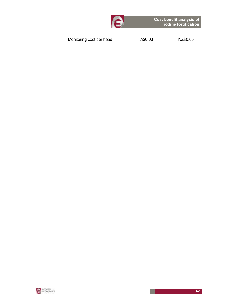| Monitoring cost per head | A\$0.03 | NZ\$0.05 |
|--------------------------|---------|----------|
|--------------------------|---------|----------|

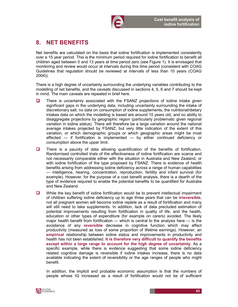

# 8. NET BENEFITS

Net benefits are calculated on the basis that iodine fortification is implemented consistently over a 15 year period. This is the minimum period required for iodine fortification to benefit all children aged between 0 and 13 years at time period zero (see Figure 1). It is envisaged that monitoring and review would occur at intervals during this time period (consistent with COAG Guidelines that regulation should be reviewed at intervals of less than 10 years (COAG 2004)).

There is a high degree of uncertainty surrounding the underlying variables contributing to the modelling of net benefits, and the caveats discussed in sections 4, 5, 6 and 7 should be kept in mind. The main caveats are repeated in brief here.

- $\Box$  There is uncertainty associated with the FSANZ projections of iodine intake given significant gaps in the underlying data, including uncertainty surrounding the intake of discretionary salt, no data on consumption of iodine supplements, the nutritional/dietary intakes data on which the modelling is based are around 10 years old, and no ability to disaggregate projections by geographic region (particularly problematic given regional variation in iodine status). There will therefore be a large variation around the national average intakes projected by FSANZ, but very little indication of the extent of this variation, or which demographic groups or which geographic areas might be most affected — if fortification is implemented — by either continued deficiency or consumption above the upper limit.
- There is a paucity of data allowing quantification of the benefits of fortification. Randomised controlled trials of the effectiveness of iodine fortification are scarce and not necessarily comparable either with the situation in Australia and New Zealand, or with iodine fortification of the type proposed by FSANZ. There is evidence of health benefits arising from addressing iodine deficiency across a range of human capabilities — intelligence, hearing, concentration, reproduction, fertility and infant survival (for example). However, for the purpose of a cost benefit analysis, there is a dearth of the type of evidence required to enable the potential benefits to be quantified for Australia and New Zealand.
- $\Box$  While the key benefit of iodine fortification would be to prevent intellectual impairment of children suffering iodine deficiency up to age three years that can be irreversible, not all pregnant women will become iodine replete as a result of fortification and many will still need to take supplements. In addition, lack of data precluded estimation of potential improvements resulting from fortification in quality of life, and the health, education or other types of expenditure (for example on carers) avoided. The likely major health benefit from fortification — which is central to the analysis here — is the avoidance of any reversible decrease in cognitive function which may affect productivity (measured as loss of some proportion of lifetime earnings). However, an empirical relationship between iodine status and improvements in productivity and health has not been established. It is therefore very difficult to quantify the benefits except within a large range to account for the high degree of uncertainty. As a specific example, while there is evidence suggesting that some iodine deficiency related cognitive damage is reversible if iodine intakes increase, there is no data available indicating the extent of reversibility or the age ranges of people who might benefit.

In addition, the implicit and probable economic assumption is that the numbers of people whose IQ increased as a result of fortification would not be of sufficient

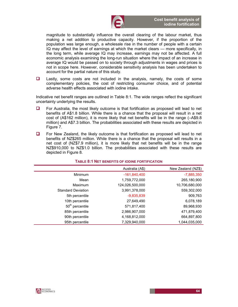

magnitude to substantially influence the overall clearing of the labour market, thus making a net addition to productive capacity. However, if the proportion of the population was large enough, a wholesale rise in the number of people with a certain IQ may affect the level of earnings at which the market clears — more specifically, in the long term, while average IQ may increase, earnings may not be affected. A full economic analysis examining the long-run situation where the impact of an increase in average IQ would be passed on to society through adjustments in wages and prices is not in scope here. However, considerable sensitivity analysis has been undertaken to account for the partial nature of this study.

**Lastly, some costs are not included in the analysis, namely, the costs of some** complementary policies, the cost of restricting consumer choice, and of potential adverse health effects associated with iodine intake.

Indicative net benefit ranges are outlined in Table 8:1. The wide ranges reflect the significant uncertainty underlying the results.

- $\Box$  For Australia, the most likely outcome is that fortification as proposed will lead to net benefits of A\$1.8 billion. While there is a chance that the proposal will result in a net cost of (A\$162 million), it is more likely that net benefits will be in the range (–A\$9.8 million) and A\$7.3 billion. The probabilities associated with these results are depicted in Figure 7.
- $\Box$  For New Zealand, the likely outcome is that fortification as proposed will lead to net benefits of NZ\$265 million. While there is a chance that the proposal will results in a net cost of (NZ\$7.9 million), it is more likely that net benefits will be in the range NZ\$910,000 to NZ\$1.0 billion. The probabilities associated with these results are depicted in Figure 8.

|                             | Australia (A\$) | New Zealand (NZ\$) |
|-----------------------------|-----------------|--------------------|
| Minimum                     | $-161,840,400$  | $-7,885,350$       |
| Mean                        | 1,759,772,000   | 265,180,900        |
| Maximum                     | 124,026,500,000 | 10,706,680,000     |
| <b>Standard Deviation</b>   | 3,991,378,000   | 559,302,000        |
| 5th percentile              | $-9,835,839$    | 909,763            |
| 10th percentile             | 27.649.490      | 6,078,189          |
| 50 <sup>th</sup> percentile | 571,817,400     | 89,968,930         |
| 85th percentile             | 2,986,907,000   | 471,879,400        |
| 90th percentile             | 4,168,812,000   | 664,897,800        |
| 95th percentile             | 7,329,940,000   | 1,044,035,000      |

#### TABLE 8:1 NET BENEFITS OF IODINE FORTIFICATION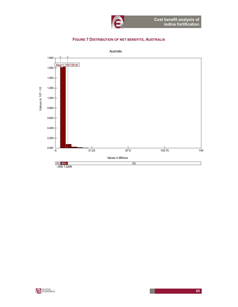

### FIGURE 7 DISTRIBUTION OF NET BENEFITS, AUSTRALIA



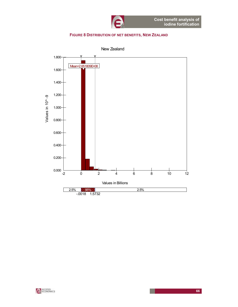

#### FIGURE 8 DISTRIBUTION OF NET BENEFITS, NEW ZEALAND



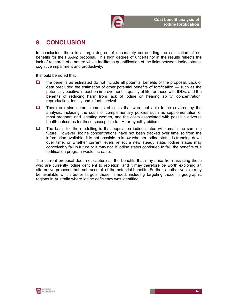

# 9. CONCLUSION

In conclusion, there is a large degree of uncertainty surrounding the calculation of net benefits for the FSANZ proposal. This high degree of uncertainty in the results reflects the lack of research of a nature which facilitates quantification of the links between iodine status, cognitive impairment and productivity.

It should be noted that

- $\Box$  the benefits as estimated do not include all potential benefits of the proposal. Lack of data precluded the estimation of other potential benefits of fortification — such as the potentially positive impact on improvement in quality of life for those with IDDs, and the benefits of reducing harm from lack of iodine on hearing ability, concentration, reproduction, fertility and infant survival.
- $\Box$  There are also some elements of costs that were not able to be covered by the analysis, including the costs of complementary policies such as supplementation of most pregnant and lactating women, and the costs associated with possible adverse health outcomes for those susceptible to IIH, or hypothyroidism.
- $\Box$  The basis for the modelling is that population iodine status will remain the same in future. However, iodine concentrations have not been tracked over time so from the information available, it is not possible to know whether iodine status is trending down over time, or whether current levels reflect a new steady state. Iodine status may conceivably fall in future or it may not. If iodine status continued to fall, the benefits of a fortification program would increase.

The current proposal does not capture all the benefits that may arise from assisting those who are currently iodine deficient to repletion, and it may therefore be worth exploring an alternative proposal that embraces all of the potential benefits. Further, another vehicle may be available which better targets those in need, including targeting those in geographic regions in Australia where iodine deficiency was identified.

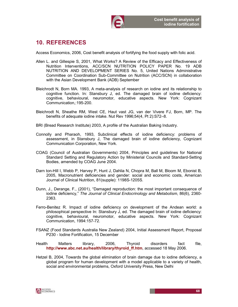

# 10. REFERENCES

Access Economics, 2006, Cost benefit analysis of fortifying the food supply with folic acid.

- Allen L. and Gillespie S, 2001, What Works? A Review of the Efficacy and Effectiveness of Nutrition Interventions, ACC/SCN NUTRITION POLICY PAPER No. 19 ADB NUTRITION AND DEVELOPMENT SERIES No. 5, United Nations Administrative Committee on Coordination Sub-Committee on Nutrition (ACC/SCN) in collaboration with the Asian Development Bank (ADB) September
- Bleichrodt N, Born MA. 1993, A meta-analysis of research on iodine and its relationship to cognitive function. In: Stansbury J, ed. The damaged brain of iodine deficiency: cognitive, behavioural, neuromotor, educative aspects. New York: Cognizant Communication,:195-200.
- Bleichrodt N, Sheathe RM, West CE, Haut vast JG, van der Vivere FJ, Born, MP. The benefits of adequate iodine intake. Nut Rev 1996;54(4, Pt 2):S72–8.
- BRI (Bread Research Institute) 2003, A profile of the Australian Baking Industry.
- Connolly and Pharaoh, 1993, Subclinical effects of iodine deficiency: problems of assessment, in Stansbury J, The damaged brain of iodine deficiency, Cognizant Communication Corporation, New York.
- COAG (Council of Australian Governments) 2004, Principles and guidelines for National Standard Setting and Regulatory Action by Ministerial Councils and Standard-Setting Bodies, amended by COAG June 2004.
- Darn ton-Hill I, Webb P, Harvey P, Hunt J, Dahlia N, Chopra M, Ball M, Bloom M, Ebonist B, 2005, Macronutrient deficiencies and gender: social and economic costs, American Journal of Clinical Nutrition, 81(supple): 1198S-1205S.
- Dunn, J., Derange, F., (2001), "Damaged reproduction: the most important consequence of iodine deficiency," The Journal of Clinical Endocrinology and Metabolism, 86(6), 2360- 2363.
- Ferro-Benitez R. Impact of iodine deficiency on development of the Andean world: a philosophical perspective In: Stansbury J, ed. The damaged brain of iodine deficiency: cognitive, behavioural, neuromotor, educative aspects. New York: Cognizant Communication, 1994:157-72.
- FSANZ (Food Standards Australia New Zealand) 2004, Initial Assessment Report, Proposal P230 - Iodine Fortification, 15 December
- Health Matters library, 2006, Thyroid disorders fact file, http://www.abc.net.au/health/library/thyroid\_ff.htm, accessed 18 May 2006.
- Hetzel B, 2004, Towards the global elimination of brain damage due to iodine deficiency, a global program for human development with a model applicable to a variety of health, social and environmental problems, Oxford University Press, New Delhi

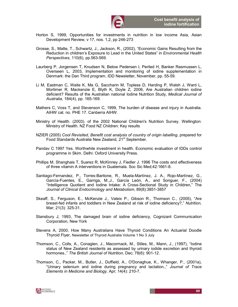

- Horton S, 1999, Opportunities for investments in nutrition in low income Asia, Asian Development Review, v 17, nos. 1,2, pp 246-273
- Grosse, S., Matte, T., Schwartz, J., Jackson, R., (2002), "Economic Gains Resulting from the Reduction in children's Exposure to Lead in the United States" in *Environmental Health* Perspectives, 110(6), pp.563-569.
- Laurberg P, Jorgensen T, Knudsen N, Below Pedersen I, Periled H, Banker Rasmussen L, Overseen L, 2003, Implementation and monitoring of iodine supplementation in Denmark: the Dan Third program, IDD Newsletter, November, pp. 55-59.
- Li M, Eastman C, Waite K, Ma G, Saccharin M, Topless D, Harding P, Walsh J, Ward L, Mortimer R, Mackenzie E, Blyth K, Doyle Z, 2006, Are Australian children iodine deficient? Results of the Australian national Iodine Nutrition Study, Medical Journal of Australia, 184(4), pp. 165-169.
- Mathers C, Voss T, and Stevenson C, 1999, The burden of disease and injury in Australia. AIHW cat. no. PHE 17. Canberra AIHW.
- Ministry of Health. (2003). of the 2002 National Children's Nutrition Survey. Wellington: Ministry of Health. NZ Food NZ Children: Key results
- NZIER (2005) Cool Revisited, Benefit cost analysis of country of origin labelling, prepared for Food Standards Australia New Zealand, 21<sup>st</sup> September.
- Pandav C 1997 Yes. Worthwhile investment in health. Economic evaluation of IDDs control programme in Skim. Delhi: Oxford University Press.
- Phillips M, Shanghais T, Suarez R, McKinney J, Fiedler J. 1996 The costs and effectiveness of three vitamin A interventions in Guatemala. Soc Sic Med;42:1661-8.
- Santiago-Fernandez, P., Torres-Baritone, R., Muela-Martínez, J. A., Rojo-Martínez, G., García-Fuentes, E., Garriga, M.,J., García León, A., and Soriguer, F., (2004) "Intelligence Quotient and Iodine Intake: A Cross-Sectional Study in Children," The Journal of Clinical Endocrinology and Metabolism, 89(8):3851-3857
- Skeaff, S., Ferguson, E., McKenzie J., Valeix P., Gibson R., Thomson C., (2005), "Are breast-fed infants and toddlers in New Zealand at risk of iodine deficiency?," Nutrition, Mar; 21(3): 325-31.
- Stansbury J, 1993, The damaged brain of iodine deficiency, Cognizant Communication Corporation, New York
- Stevens A, 2000, How Many Australians Have Thyroid Conditions An Actuarial Doodle Thyroid Flyer, Newsletter of Thyroid Australia Volume 1 No 3 July
- Thomson, C., Colls, A., Conaglen, J., Macormack, M., Stiles, M., Mann, J., (1997), "Iodine status of New Zealand residents as assessed by urinary iodide excretion and thyroid hormones.," The British Journal of Nutrition, Dec; 78(6): 901-12.
- Thomson, C., Packer, M., Butler, J., Duffield, A., O'Donaghue, K., Whanger, P., (2001a), "Urinary selenium and iodine during pregnancy and lactation.," Journal of Trace Elements in Medicine and Biology, Apr; 14(4): 210-7.